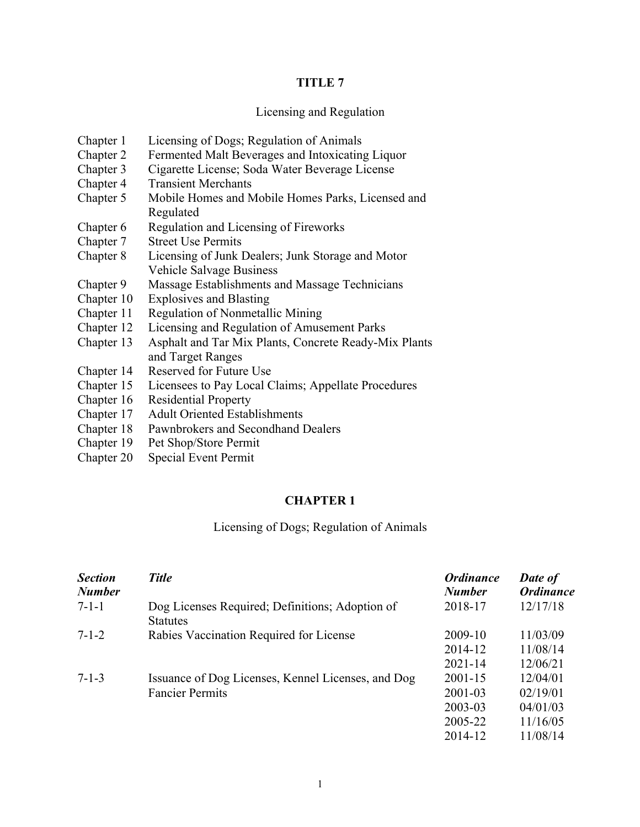#### **TITLE 7**

#### Licensing and Regulation

- Chapter 1 Licensing of Dogs; Regulation of Animals
- Chapter 2 Fermented Malt Beverages and Intoxicating Liquor
- Chapter 3 Cigarette License; Soda Water Beverage License
- Chapter 4 Transient Merchants
- Chapter 5 Mobile Homes and Mobile Homes Parks, Licensed and Regulated
- Chapter 6 Regulation and Licensing of Fireworks
- Chapter 7 Street Use Permits
- Chapter 8 Licensing of Junk Dealers; Junk Storage and Motor Vehicle Salvage Business
- Chapter 9 Massage Establishments and Massage Technicians
- Chapter 10 Explosives and Blasting
- Chapter 11 Regulation of Nonmetallic Mining
- Chapter 12 Licensing and Regulation of Amusement Parks
- Chapter 13 Asphalt and Tar Mix Plants, Concrete Ready-Mix Plants and Target Ranges
- Chapter 14 Reserved for Future Use
- Chapter 15 Licensees to Pay Local Claims; Appellate Procedures
- Chapter 16 Residential Property
- Chapter 17 Adult Oriented Establishments
- Chapter 18 Pawnbrokers and Secondhand Dealers
- Chapter 19 Pet Shop/Store Permit
- Chapter 20 Special Event Permit

#### **CHAPTER 1**

#### Licensing of Dogs; Regulation of Animals

| <b>Section</b><br><b>Number</b> | <b>Title</b>                                                       | <b>Ordinance</b><br><b>Number</b> | Date of<br><b>Ordinance</b> |
|---------------------------------|--------------------------------------------------------------------|-----------------------------------|-----------------------------|
| $7 - 1 - 1$                     | Dog Licenses Required; Definitions; Adoption of<br><b>Statutes</b> | 2018-17                           | 12/17/18                    |
| $7 - 1 - 2$                     | Rabies Vaccination Required for License                            | 2009-10                           | 11/03/09                    |
|                                 |                                                                    | 2014-12                           | 11/08/14                    |
|                                 |                                                                    | $2021 - 14$                       | 12/06/21                    |
| $7 - 1 - 3$                     | Issuance of Dog Licenses, Kennel Licenses, and Dog                 | $2001 - 15$                       | 12/04/01                    |
|                                 | <b>Fancier Permits</b>                                             | 2001-03                           | 02/19/01                    |
|                                 |                                                                    | 2003-03                           | 04/01/03                    |
|                                 |                                                                    | 2005-22                           | 11/16/05                    |
|                                 |                                                                    | 2014-12                           | 11/08/14                    |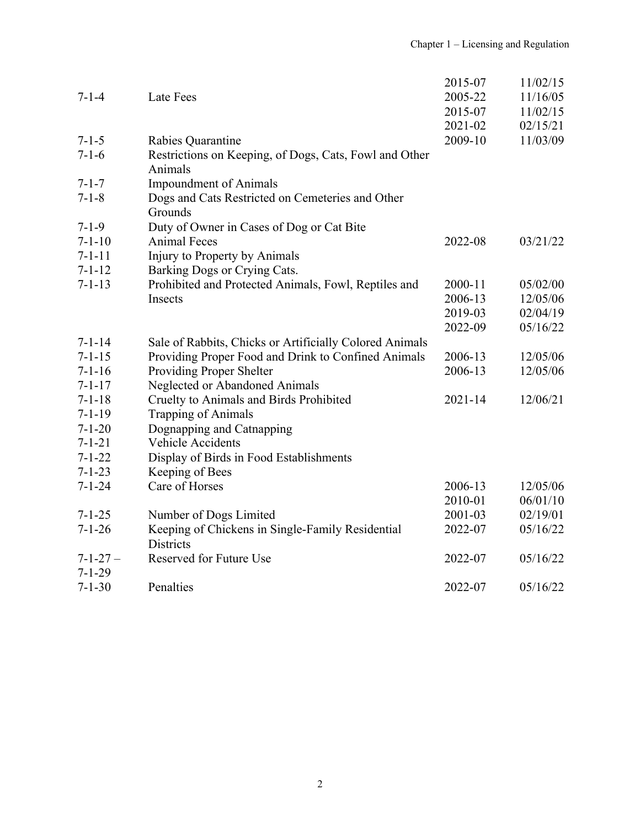|                |                                                         | 2015-07     | 11/02/15 |
|----------------|---------------------------------------------------------|-------------|----------|
| $7 - 1 - 4$    | Late Fees                                               | 2005-22     | 11/16/05 |
|                |                                                         | 2015-07     | 11/02/15 |
|                |                                                         | 2021-02     | 02/15/21 |
| $7 - 1 - 5$    | Rabies Quarantine                                       | 2009-10     | 11/03/09 |
| $7 - 1 - 6$    | Restrictions on Keeping, of Dogs, Cats, Fowl and Other  |             |          |
|                | Animals                                                 |             |          |
| $7 - 1 - 7$    | <b>Impoundment of Animals</b>                           |             |          |
| $7 - 1 - 8$    | Dogs and Cats Restricted on Cemeteries and Other        |             |          |
|                | Grounds                                                 |             |          |
| $7 - 1 - 9$    | Duty of Owner in Cases of Dog or Cat Bite               |             |          |
| $7 - 1 - 10$   | <b>Animal Feces</b>                                     | 2022-08     | 03/21/22 |
| $7 - 1 - 11$   | Injury to Property by Animals                           |             |          |
| $7 - 1 - 12$   | Barking Dogs or Crying Cats.                            |             |          |
| $7 - 1 - 13$   | Prohibited and Protected Animals, Fowl, Reptiles and    | 2000-11     | 05/02/00 |
|                | Insects                                                 | 2006-13     | 12/05/06 |
|                |                                                         | 2019-03     | 02/04/19 |
|                |                                                         | 2022-09     | 05/16/22 |
| $7 - 1 - 14$   | Sale of Rabbits, Chicks or Artificially Colored Animals |             |          |
| $7 - 1 - 15$   | Providing Proper Food and Drink to Confined Animals     | 2006-13     | 12/05/06 |
| $7 - 1 - 16$   | Providing Proper Shelter                                | 2006-13     | 12/05/06 |
| $7 - 1 - 17$   | Neglected or Abandoned Animals                          |             |          |
| $7 - 1 - 18$   | Cruelty to Animals and Birds Prohibited                 | $2021 - 14$ | 12/06/21 |
| $7 - 1 - 19$   | <b>Trapping of Animals</b>                              |             |          |
| $7 - 1 - 20$   | Dognapping and Catnapping                               |             |          |
| $7 - 1 - 21$   | Vehicle Accidents                                       |             |          |
| $7 - 1 - 22$   | Display of Birds in Food Establishments                 |             |          |
| $7 - 1 - 23$   | Keeping of Bees                                         |             |          |
| $7 - 1 - 24$   | Care of Horses                                          | 2006-13     | 12/05/06 |
|                |                                                         | 2010-01     | 06/01/10 |
| $7 - 1 - 25$   | Number of Dogs Limited                                  | 2001-03     | 02/19/01 |
| $7 - 1 - 26$   | Keeping of Chickens in Single-Family Residential        | 2022-07     | 05/16/22 |
|                | <b>Districts</b>                                        |             |          |
| $7 - 1 - 27 -$ | Reserved for Future Use                                 | 2022-07     | 05/16/22 |
| $7 - 1 - 29$   |                                                         |             |          |
| $7 - 1 - 30$   | Penalties                                               | 2022-07     | 05/16/22 |
|                |                                                         |             |          |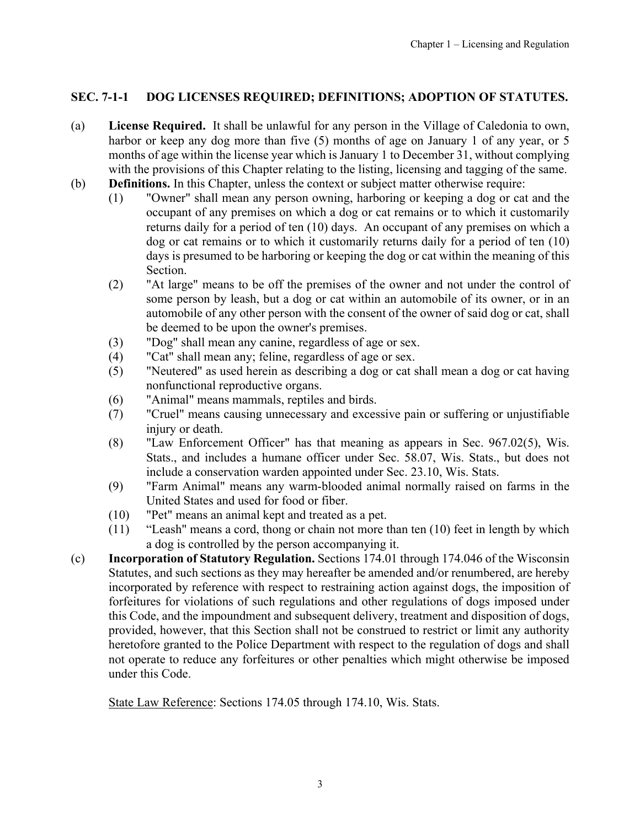## <span id="page-2-0"></span>**SEC. 7-1-1 DOG LICENSES REQUIRED; DEFINITIONS; ADOPTION OF STATUTES.**

- (a) **License Required.** It shall be unlawful for any person in the Village of Caledonia to own, harbor or keep any dog more than five (5) months of age on January 1 of any year, or 5 months of age within the license year which is January 1 to December 31, without complying with the provisions of this Chapter relating to the listing, licensing and tagging of the same.
- (b) **Definitions.** In this Chapter, unless the context or subject matter otherwise require:
	- (1) "Owner" shall mean any person owning, harboring or keeping a dog or cat and the occupant of any premises on which a dog or cat remains or to which it customarily returns daily for a period of ten (10) days. An occupant of any premises on which a dog or cat remains or to which it customarily returns daily for a period of ten (10) days is presumed to be harboring or keeping the dog or cat within the meaning of this Section.
	- (2) "At large" means to be off the premises of the owner and not under the control of some person by leash, but a dog or cat within an automobile of its owner, or in an automobile of any other person with the consent of the owner of said dog or cat, shall be deemed to be upon the owner's premises.
	- (3) "Dog" shall mean any canine, regardless of age or sex.
	- (4) "Cat" shall mean any; feline, regardless of age or sex.
	- (5) "Neutered" as used herein as describing a dog or cat shall mean a dog or cat having nonfunctional reproductive organs.
	- (6) "Animal" means mammals, reptiles and birds.
	- (7) "Cruel" means causing unnecessary and excessive pain or suffering or unjustifiable injury or death.
	- (8) "Law Enforcement Officer" has that meaning as appears in Sec. 967.02(5), Wis. Stats., and includes a humane officer under Sec. 58.07, Wis. Stats., but does not include a conservation warden appointed under Sec. 23.10, Wis. Stats.
	- (9) "Farm Animal" means any warm-blooded animal normally raised on farms in the United States and used for food or fiber.
	- (10) "Pet" means an animal kept and treated as a pet.
	- (11) "Leash" means a cord, thong or chain not more than ten (10) feet in length by which a dog is controlled by the person accompanying it.
- (c) **Incorporation of Statutory Regulation.** Sections 174.01 through 174.046 of the Wisconsin Statutes, and such sections as they may hereafter be amended and/or renumbered, are hereby incorporated by reference with respect to restraining action against dogs, the imposition of forfeitures for violations of such regulations and other regulations of dogs imposed under this Code, and the impoundment and subsequent delivery, treatment and disposition of dogs, provided, however, that this Section shall not be construed to restrict or limit any authority heretofore granted to the Police Department with respect to the regulation of dogs and shall not operate to reduce any forfeitures or other penalties which might otherwise be imposed under this Code.

State Law Reference: Sections 174.05 through 174.10, Wis. Stats.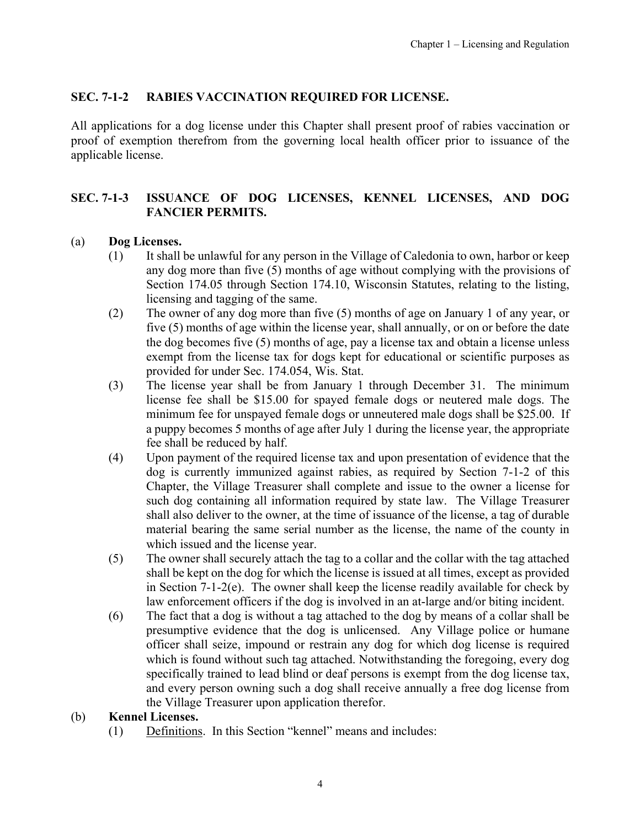### <span id="page-3-0"></span>**SEC. 7-1-2 RABIES VACCINATION REQUIRED FOR LICENSE.**

All applications for a dog license under this Chapter shall present proof of rabies vaccination or proof of exemption therefrom from the governing local health officer prior to issuance of the applicable license.

## **SEC. 7-1-3 ISSUANCE OF DOG LICENSES, KENNEL LICENSES, AND DOG FANCIER PERMITS.**

### (a) **Dog Licenses.**

- (1) It shall be unlawful for any person in the Village of Caledonia to own, harbor or keep any dog more than five (5) months of age without complying with the provisions of Section 174.05 through Section 174.10, Wisconsin Statutes, relating to the listing, licensing and tagging of the same.
- (2) The owner of any dog more than five (5) months of age on January 1 of any year, or five (5) months of age within the license year, shall annually, or on or before the date the dog becomes five (5) months of age, pay a license tax and obtain a license unless exempt from the license tax for dogs kept for educational or scientific purposes as provided for under Sec. 174.054, Wis. Stat.
- (3) The license year shall be from January 1 through December 31. The minimum license fee shall be \$15.00 for spayed female dogs or neutered male dogs. The minimum fee for unspayed female dogs or unneutered male dogs shall be \$25.00. If a puppy becomes 5 months of age after July 1 during the license year, the appropriate fee shall be reduced by half.
- (4) Upon payment of the required license tax and upon presentation of evidence that the dog is currently immunized against rabies, as required by Section 7-1-2 of this Chapter, the Village Treasurer shall complete and issue to the owner a license for such dog containing all information required by state law. The Village Treasurer shall also deliver to the owner, at the time of issuance of the license, a tag of durable material bearing the same serial number as the license, the name of the county in which issued and the license year.
- (5) The owner shall securely attach the tag to a collar and the collar with the tag attached shall be kept on the dog for which the license is issued at all times, except as provided in Section 7-1-2(e). The owner shall keep the license readily available for check by law enforcement officers if the dog is involved in an at-large and/or biting incident.
- (6) The fact that a dog is without a tag attached to the dog by means of a collar shall be presumptive evidence that the dog is unlicensed. Any Village police or humane officer shall seize, impound or restrain any dog for which dog license is required which is found without such tag attached. Notwithstanding the foregoing, every dog specifically trained to lead blind or deaf persons is exempt from the dog license tax, and every person owning such a dog shall receive annually a free dog license from the Village Treasurer upon application therefor.

#### (b) **Kennel Licenses.**

(1) Definitions. In this Section "kennel" means and includes: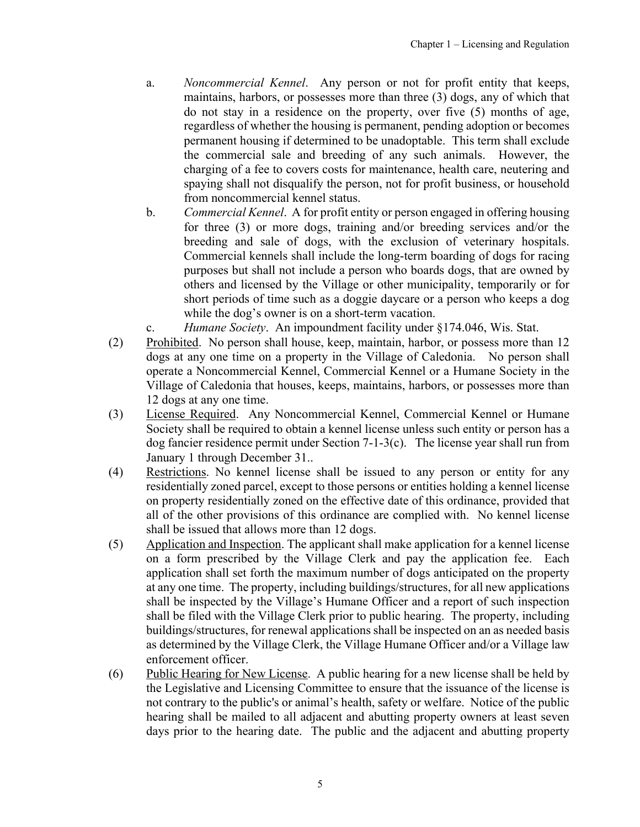- a. *Noncommercial Kennel*. Any person or not for profit entity that keeps, maintains, harbors, or possesses more than three (3) dogs, any of which that do not stay in a residence on the property, over five (5) months of age, regardless of whether the housing is permanent, pending adoption or becomes permanent housing if determined to be unadoptable. This term shall exclude the commercial sale and breeding of any such animals. However, the charging of a fee to covers costs for maintenance, health care, neutering and spaying shall not disqualify the person, not for profit business, or household from noncommercial kennel status.
- b. *Commercial Kennel*. A for profit entity or person engaged in offering housing for three (3) or more dogs, training and/or breeding services and/or the breeding and sale of dogs, with the exclusion of veterinary hospitals. Commercial kennels shall include the long-term boarding of dogs for racing purposes but shall not include a person who boards dogs, that are owned by others and licensed by the Village or other municipality, temporarily or for short periods of time such as a doggie daycare or a person who keeps a dog while the dog's owner is on a short-term vacation.
- c. *Humane Society*. An impoundment facility under §174.046, Wis. Stat.
- (2) Prohibited. No person shall house, keep, maintain, harbor, or possess more than 12 dogs at any one time on a property in the Village of Caledonia. No person shall operate a Noncommercial Kennel, Commercial Kennel or a Humane Society in the Village of Caledonia that houses, keeps, maintains, harbors, or possesses more than 12 dogs at any one time.
- (3) License Required. Any Noncommercial Kennel, Commercial Kennel or Humane Society shall be required to obtain a kennel license unless such entity or person has a dog fancier residence permit under Section 7-1-3(c). The license year shall run from January 1 through December 31..
- (4) Restrictions. No kennel license shall be issued to any person or entity for any residentially zoned parcel, except to those persons or entities holding a kennel license on property residentially zoned on the effective date of this ordinance, provided that all of the other provisions of this ordinance are complied with. No kennel license shall be issued that allows more than 12 dogs.
- (5) Application and Inspection. The applicant shall make application for a kennel license on a form prescribed by the Village Clerk and pay the application fee. Each application shall set forth the maximum number of dogs anticipated on the property at any one time. The property, including buildings/structures, for all new applications shall be inspected by the Village's Humane Officer and a report of such inspection shall be filed with the Village Clerk prior to public hearing. The property, including buildings/structures, for renewal applications shall be inspected on an as needed basis as determined by the Village Clerk, the Village Humane Officer and/or a Village law enforcement officer.
- (6) Public Hearing for New License. A public hearing for a new license shall be held by the Legislative and Licensing Committee to ensure that the issuance of the license is not contrary to the public's or animal's health, safety or welfare. Notice of the public hearing shall be mailed to all adjacent and abutting property owners at least seven days prior to the hearing date. The public and the adjacent and abutting property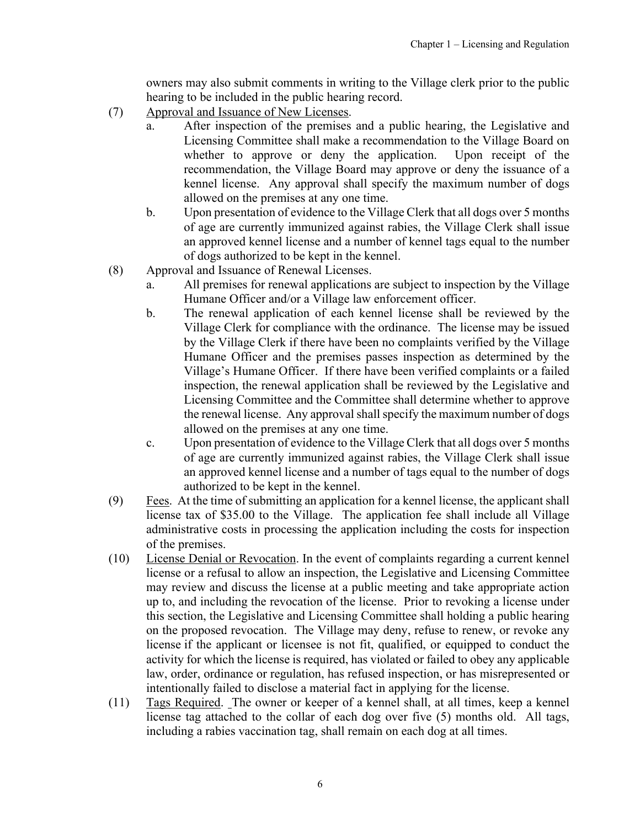owners may also submit comments in writing to the Village clerk prior to the public hearing to be included in the public hearing record.

- (7) Approval and Issuance of New Licenses.
	- a. After inspection of the premises and a public hearing, the Legislative and Licensing Committee shall make a recommendation to the Village Board on whether to approve or deny the application. Upon receipt of the recommendation, the Village Board may approve or deny the issuance of a kennel license. Any approval shall specify the maximum number of dogs allowed on the premises at any one time.
	- b. Upon presentation of evidence to the Village Clerk that all dogs over 5 months of age are currently immunized against rabies, the Village Clerk shall issue an approved kennel license and a number of kennel tags equal to the number of dogs authorized to be kept in the kennel.
- (8) Approval and Issuance of Renewal Licenses.
	- a. All premises for renewal applications are subject to inspection by the Village Humane Officer and/or a Village law enforcement officer.
	- b. The renewal application of each kennel license shall be reviewed by the Village Clerk for compliance with the ordinance. The license may be issued by the Village Clerk if there have been no complaints verified by the Village Humane Officer and the premises passes inspection as determined by the Village's Humane Officer. If there have been verified complaints or a failed inspection, the renewal application shall be reviewed by the Legislative and Licensing Committee and the Committee shall determine whether to approve the renewal license. Any approval shall specify the maximum number of dogs allowed on the premises at any one time.
	- c. Upon presentation of evidence to the Village Clerk that all dogs over 5 months of age are currently immunized against rabies, the Village Clerk shall issue an approved kennel license and a number of tags equal to the number of dogs authorized to be kept in the kennel.
- $(9)$  Fees. At the time of submitting an application for a kennel license, the applicant shall license tax of \$35.00 to the Village. The application fee shall include all Village administrative costs in processing the application including the costs for inspection of the premises.
- (10) License Denial or Revocation. In the event of complaints regarding a current kennel license or a refusal to allow an inspection, the Legislative and Licensing Committee may review and discuss the license at a public meeting and take appropriate action up to, and including the revocation of the license. Prior to revoking a license under this section, the Legislative and Licensing Committee shall holding a public hearing on the proposed revocation. The Village may deny, refuse to renew, or revoke any license if the applicant or licensee is not fit, qualified, or equipped to conduct the activity for which the license is required, has violated or failed to obey any applicable law, order, ordinance or regulation, has refused inspection, or has misrepresented or intentionally failed to disclose a material fact in applying for the license.
- (11) Tags Required. The owner or keeper of a kennel shall, at all times, keep a kennel license tag attached to the collar of each dog over five (5) months old. All tags, including a rabies vaccination tag, shall remain on each dog at all times.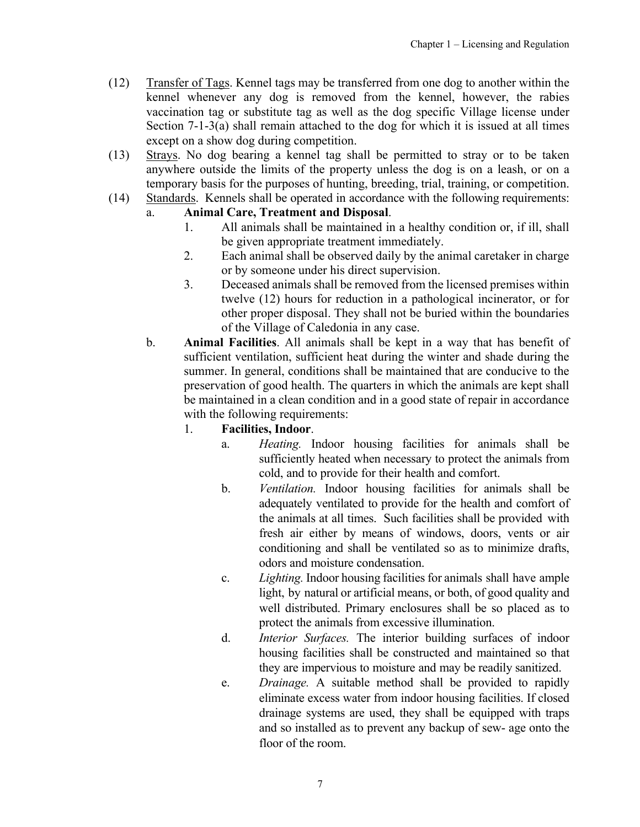- (12) Transfer of Tags. Kennel tags may be transferred from one dog to another within the kennel whenever any dog is removed from the kennel, however, the rabies vaccination tag or substitute tag as well as the dog specific Village license under Section 7-1-3(a) shall remain attached to the dog for which it is issued at all times except on a show dog during competition.
- (13) Strays. No dog bearing a kennel tag shall be permitted to stray or to be taken anywhere outside the limits of the property unless the dog is on a leash, or on a temporary basis for the purposes of hunting, breeding, trial, training, or competition.
- (14) Standards. Kennels shall be operated in accordance with the following requirements:

# a. **Animal Care, Treatment and Disposal**.

- 1. All animals shall be maintained in a healthy condition or, if ill, shall be given appropriate treatment immediately.
- 2. Each animal shall be observed daily by the animal caretaker in charge or by someone under his direct supervision.
- 3. Deceased animals shall be removed from the licensed premises within twelve (12) hours for reduction in a pathological incinerator, or for other proper disposal. They shall not be buried within the boundaries of the Village of Caledonia in any case.
- b. **Animal Facilities**. All animals shall be kept in a way that has benefit of sufficient ventilation, sufficient heat during the winter and shade during the summer. In general, conditions shall be maintained that are conducive to the preservation of good health. The quarters in which the animals are kept shall be maintained in a clean condition and in a good state of repair in accordance with the following requirements:

## 1. **Facilities, Indoor**.

- a. *Heating.* Indoor housing facilities for animals shall be sufficiently heated when necessary to protect the animals from cold, and to provide for their health and comfort.
- b. *Ventilation.* Indoor housing facilities for animals shall be adequately ventilated to provide for the health and comfort of the animals at all times. Such facilities shall be provided with fresh air either by means of windows, doors, vents or air conditioning and shall be ventilated so as to minimize drafts, odors and moisture condensation.
- c. *Lighting.* Indoor housing facilities for animals shall have ample light, by natural or artificial means, or both, of good quality and well distributed. Primary enclosures shall be so placed as to protect the animals from excessive illumination.
- d. *Interior Surfaces.* The interior building surfaces of indoor housing facilities shall be constructed and maintained so that they are impervious to moisture and may be readily sanitized.
- e. *Drainage.* A suitable method shall be provided to rapidly eliminate excess water from indoor housing facilities. If closed drainage systems are used, they shall be equipped with traps and so installed as to prevent any backup of sew- age onto the floor of the room.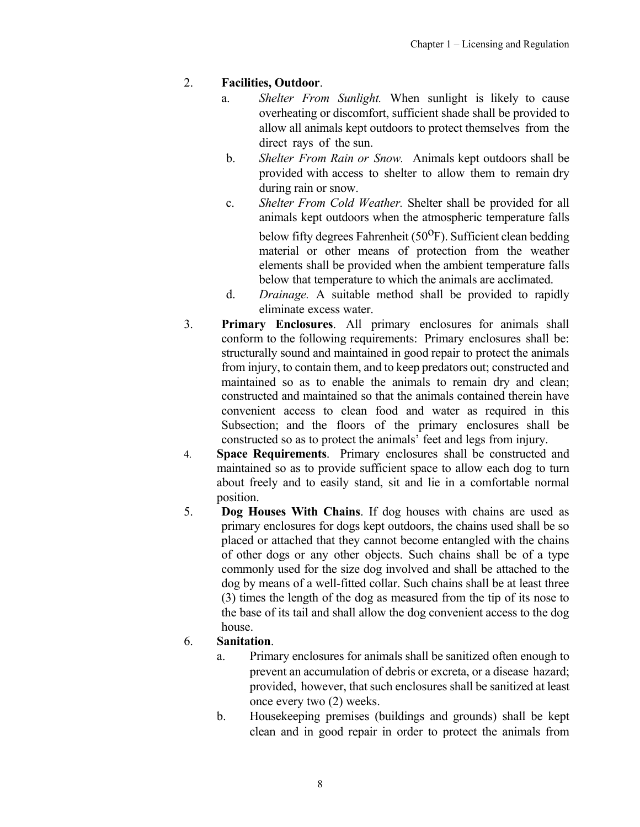# 2. **Facilities, Outdoor**.

- a. *Shelter From Sunlight.* When sunlight is likely to cause overheating or discomfort, sufficient shade shall be provided to allow all animals kept outdoors to protect themselves from the direct rays of the sun.
- b. *Shelter From Rain or Snow.* Animals kept outdoors shall be provided with access to shelter to allow them to remain dry during rain or snow.
- c. *Shelter From Cold Weather.* Shelter shall be provided for all animals kept outdoors when the atmospheric temperature falls below fifty degrees Fahrenheit  $(50^{\circ}F)$ . Sufficient clean bedding material or other means of protection from the weather elements shall be provided when the ambient temperature falls below that temperature to which the animals are acclimated.
- d. *Drainage.* A suitable method shall be provided to rapidly eliminate excess water.
- 3. **Primary Enclosures**. All primary enclosures for animals shall conform to the following requirements: Primary enclosures shall be: structurally sound and maintained in good repair to protect the animals from injury, to contain them, and to keep predators out; constructed and maintained so as to enable the animals to remain dry and clean; constructed and maintained so that the animals contained therein have convenient access to clean food and water as required in this Subsection; and the floors of the primary enclosures shall be constructed so as to protect the animals' feet and legs from injury.
- 4. **Space Requirements**. Primary enclosures shall be constructed and maintained so as to provide sufficient space to allow each dog to turn about freely and to easily stand, sit and lie in a comfortable normal position.
- 5. **Dog Houses With Chains**. If dog houses with chains are used as primary enclosures for dogs kept outdoors, the chains used shall be so placed or attached that they cannot become entangled with the chains of other dogs or any other objects. Such chains shall be of a type commonly used for the size dog involved and shall be attached to the dog by means of a well-fitted collar. Such chains shall be at least three (3) times the length of the dog as measured from the tip of its nose to the base of its tail and shall allow the dog convenient access to the dog house.

# 6. **Sanitation**.

- a. Primary enclosures for animals shall be sanitized often enough to prevent an accumulation of debris or excreta, or a disease hazard; provided, however, that such enclosures shall be sanitized at least once every two (2) weeks.
- b. Housekeeping premises (buildings and grounds) shall be kept clean and in good repair in order to protect the animals from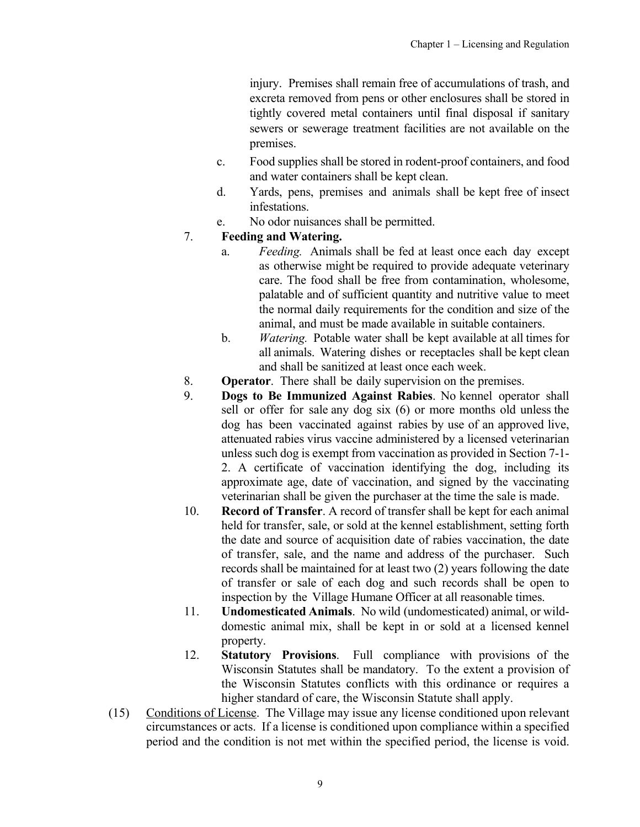injury. Premises shall remain free of accumulations of trash, and excreta removed from pens or other enclosures shall be stored in tightly covered metal containers until final disposal if sanitary sewers or sewerage treatment facilities are not available on the premises.

- c. Food supplies shall be stored in rodent-proof containers, and food and water containers shall be kept clean.
- d. Yards, pens, premises and animals shall be kept free of insect infestations.
- e. No odor nuisances shall be permitted.

### 7. **Feeding and Watering.**

- a. *Feeding.* Animals shall be fed at least once each day except as otherwise might be required to provide adequate veterinary care. The food shall be free from contamination, wholesome, palatable and of sufficient quantity and nutritive value to meet the normal daily requirements for the condition and size of the animal, and must be made available in suitable containers.
- b. *Watering.* Potable water shall be kept available at all times for all animals. Watering dishes or receptacles shall be kept clean and shall be sanitized at least once each week.
- 8. **Operator**. There shall be daily supervision on the premises.
- 9. **Dogs to Be Immunized Against Rabies**. No kennel operator shall sell or offer for sale any dog six (6) or more months old unless the dog has been vaccinated against rabies by use of an approved live, attenuated rabies virus vaccine administered by a licensed veterinarian unless such dog is exempt from vaccination as provided in Section 7-1- 2. A certificate of vaccination identifying the dog, including its approximate age, date of vaccination, and signed by the vaccinating veterinarian shall be given the purchaser at the time the sale is made.
- 10. **Record of Transfer**. A record of transfer shall be kept for each animal held for transfer, sale, or sold at the kennel establishment, setting forth the date and source of acquisition date of rabies vaccination, the date of transfer, sale, and the name and address of the purchaser. Such records shall be maintained for at least two (2) years following the date of transfer or sale of each dog and such records shall be open to inspection by the Village Humane Officer at all reasonable times.
- 11. **Undomesticated Animals**. No wild (undomesticated) animal, or wilddomestic animal mix, shall be kept in or sold at a licensed kennel property.
- 12. **Statutory Provisions**. Full compliance with provisions of the Wisconsin Statutes shall be mandatory. To the extent a provision of the Wisconsin Statutes conflicts with this ordinance or requires a higher standard of care, the Wisconsin Statute shall apply.
- (15) Conditions of License. The Village may issue any license conditioned upon relevant circumstances or acts. If a license is conditioned upon compliance within a specified period and the condition is not met within the specified period, the license is void.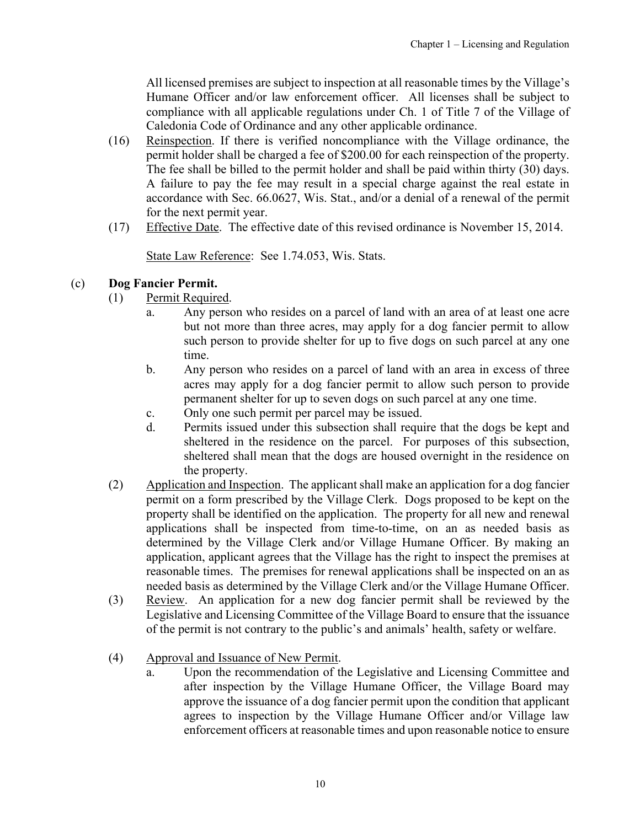All licensed premises are subject to inspection at all reasonable times by the Village's Humane Officer and/or law enforcement officer. All licenses shall be subject to compliance with all applicable regulations under Ch. 1 of Title 7 of the Village of Caledonia Code of Ordinance and any other applicable ordinance.

- (16) Reinspection. If there is verified noncompliance with the Village ordinance, the permit holder shall be charged a fee of \$200.00 for each reinspection of the property. The fee shall be billed to the permit holder and shall be paid within thirty (30) days. A failure to pay the fee may result in a special charge against the real estate in accordance with Sec. 66.0627, Wis. Stat., and/or a denial of a renewal of the permit for the next permit year.
- (17) Effective Date. The effective date of this revised ordinance is November 15, 2014.

State Law Reference: See 1.74.053, Wis. Stats.

## (c) **Dog Fancier Permit.**

- (1) Permit Required.
	- a. Any person who resides on a parcel of land with an area of at least one acre but not more than three acres, may apply for a dog fancier permit to allow such person to provide shelter for up to five dogs on such parcel at any one time.
	- b. Any person who resides on a parcel of land with an area in excess of three acres may apply for a dog fancier permit to allow such person to provide permanent shelter for up to seven dogs on such parcel at any one time.
	- c. Only one such permit per parcel may be issued.
	- d. Permits issued under this subsection shall require that the dogs be kept and sheltered in the residence on the parcel. For purposes of this subsection, sheltered shall mean that the dogs are housed overnight in the residence on the property.
- (2) Application and Inspection. The applicant shall make an application for a dog fancier permit on a form prescribed by the Village Clerk. Dogs proposed to be kept on the property shall be identified on the application. The property for all new and renewal applications shall be inspected from time-to-time, on an as needed basis as determined by the Village Clerk and/or Village Humane Officer. By making an application, applicant agrees that the Village has the right to inspect the premises at reasonable times. The premises for renewal applications shall be inspected on an as needed basis as determined by the Village Clerk and/or the Village Humane Officer.
- (3) Review. An application for a new dog fancier permit shall be reviewed by the Legislative and Licensing Committee of the Village Board to ensure that the issuance of the permit is not contrary to the public's and animals' health, safety or welfare.
- (4) Approval and Issuance of New Permit.
	- a. Upon the recommendation of the Legislative and Licensing Committee and after inspection by the Village Humane Officer, the Village Board may approve the issuance of a dog fancier permit upon the condition that applicant agrees to inspection by the Village Humane Officer and/or Village law enforcement officers at reasonable times and upon reasonable notice to ensure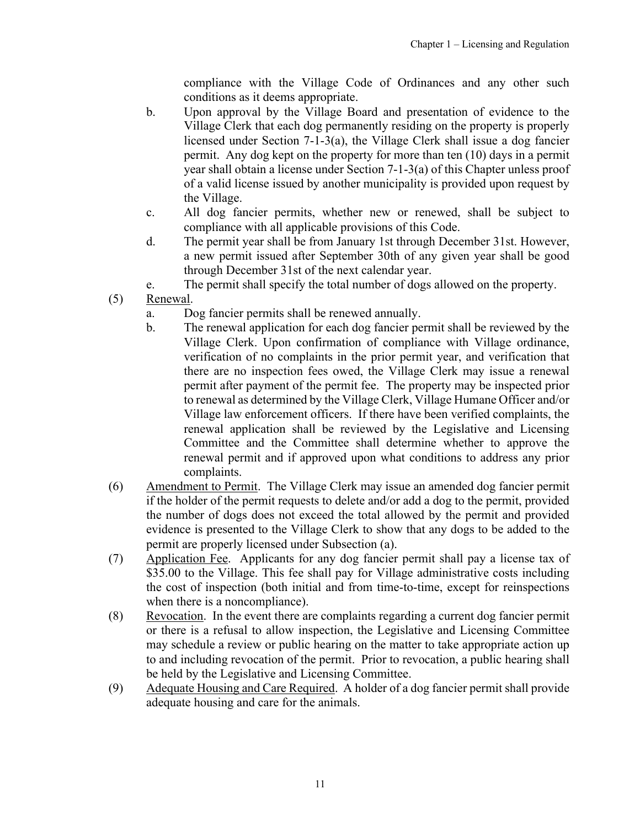compliance with the Village Code of Ordinances and any other such conditions as it deems appropriate.

- b. Upon approval by the Village Board and presentation of evidence to the Village Clerk that each dog permanently residing on the property is properly licensed under Section 7-1-3(a), the Village Clerk shall issue a dog fancier permit. Any dog kept on the property for more than ten (10) days in a permit year shall obtain a license under Section 7-1-3(a) of this Chapter unless proof of a valid license issued by another municipality is provided upon request by the Village.
- c. All dog fancier permits, whether new or renewed, shall be subject to compliance with all applicable provisions of this Code.
- d. The permit year shall be from January 1st through December 31st. However, a new permit issued after September 30th of any given year shall be good through December 31st of the next calendar year.
- e. The permit shall specify the total number of dogs allowed on the property.
- (5) Renewal.
	- a. Dog fancier permits shall be renewed annually.
	- b. The renewal application for each dog fancier permit shall be reviewed by the Village Clerk. Upon confirmation of compliance with Village ordinance, verification of no complaints in the prior permit year, and verification that there are no inspection fees owed, the Village Clerk may issue a renewal permit after payment of the permit fee. The property may be inspected prior to renewal as determined by the Village Clerk, Village Humane Officer and/or Village law enforcement officers. If there have been verified complaints, the renewal application shall be reviewed by the Legislative and Licensing Committee and the Committee shall determine whether to approve the renewal permit and if approved upon what conditions to address any prior complaints.
- (6) Amendment to Permit. The Village Clerk may issue an amended dog fancier permit if the holder of the permit requests to delete and/or add a dog to the permit, provided the number of dogs does not exceed the total allowed by the permit and provided evidence is presented to the Village Clerk to show that any dogs to be added to the permit are properly licensed under Subsection (a).
- (7) Application Fee. Applicants for any dog fancier permit shall pay a license tax of \$35.00 to the Village. This fee shall pay for Village administrative costs including the cost of inspection (both initial and from time-to-time, except for reinspections when there is a noncompliance).
- (8) Revocation. In the event there are complaints regarding a current dog fancier permit or there is a refusal to allow inspection, the Legislative and Licensing Committee may schedule a review or public hearing on the matter to take appropriate action up to and including revocation of the permit. Prior to revocation, a public hearing shall be held by the Legislative and Licensing Committee.
- (9) Adequate Housing and Care Required. A holder of a dog fancier permit shall provide adequate housing and care for the animals.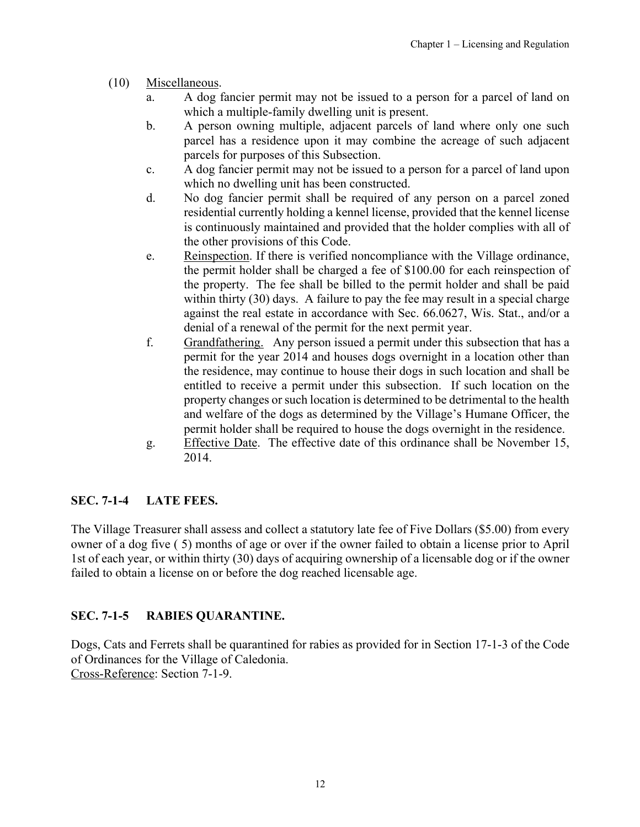- <span id="page-11-0"></span>(10) Miscellaneous.
	- a. A dog fancier permit may not be issued to a person for a parcel of land on which a multiple-family dwelling unit is present.
	- b. A person owning multiple, adjacent parcels of land where only one such parcel has a residence upon it may combine the acreage of such adjacent parcels for purposes of this Subsection.
	- c. A dog fancier permit may not be issued to a person for a parcel of land upon which no dwelling unit has been constructed.
	- d. No dog fancier permit shall be required of any person on a parcel zoned residential currently holding a kennel license, provided that the kennel license is continuously maintained and provided that the holder complies with all of the other provisions of this Code.
	- e. Reinspection. If there is verified noncompliance with the Village ordinance, the permit holder shall be charged a fee of \$100.00 for each reinspection of the property. The fee shall be billed to the permit holder and shall be paid within thirty (30) days. A failure to pay the fee may result in a special charge against the real estate in accordance with Sec. 66.0627, Wis. Stat., and/or a denial of a renewal of the permit for the next permit year.
	- f. Grandfathering. Any person issued a permit under this subsection that has a permit for the year 2014 and houses dogs overnight in a location other than the residence, may continue to house their dogs in such location and shall be entitled to receive a permit under this subsection. If such location on the property changes or such location is determined to be detrimental to the health and welfare of the dogs as determined by the Village's Humane Officer, the permit holder shall be required to house the dogs overnight in the residence.
	- g. Effective Date. The effective date of this ordinance shall be November 15, 2014.

# **SEC. 7-1-4 LATE FEES.**

The Village Treasurer shall assess and collect a statutory late fee of Five Dollars (\$5.00) from every owner of a dog five ( 5) months of age or over if the owner failed to obtain a license prior to April 1st of each year, or within thirty (30) days of acquiring ownership of a licensable dog or if the owner failed to obtain a license on or before the dog reached licensable age.

# **SEC. 7-1-5 RABIES QUARANTINE.**

Dogs, Cats and Ferrets shall be quarantined for rabies as provided for in Section 17-1-3 of the Code of Ordinances for the Village of Caledonia. Cross-Reference: Section 7-1-9.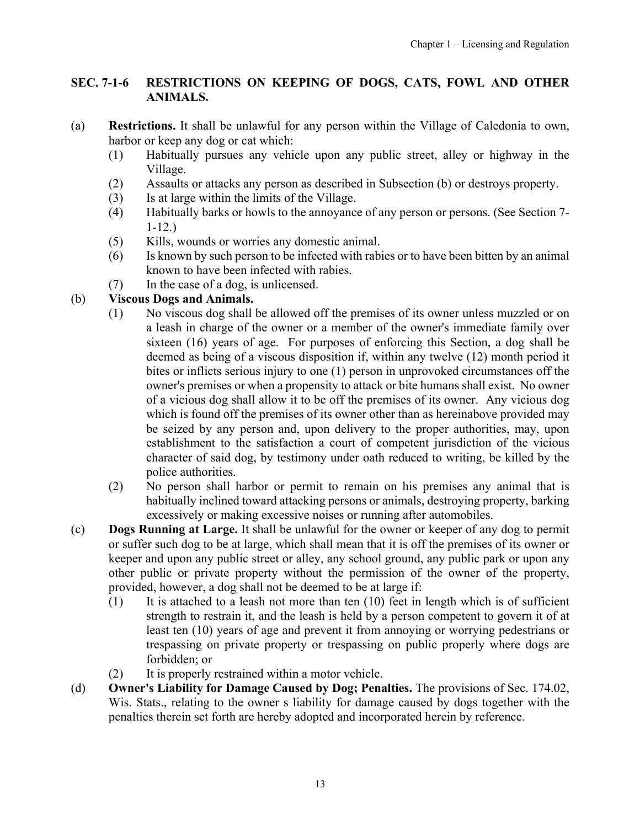# <span id="page-12-0"></span>**SEC. 7-1-6 RESTRICTIONS ON KEEPING OF DOGS, CATS, FOWL AND OTHER ANIMALS.**

- (a) **Restrictions.** It shall be unlawful for any person within the Village of Caledonia to own, harbor or keep any dog or cat which:
	- (1) Habitually pursues any vehicle upon any public street, alley or highway in the Village.
	- (2) Assaults or attacks any person as described in Subsection (b) or destroys property.
	- (3) Is at large within the limits of the Village.
	- (4) Habitually barks or howls to the annoyance of any person or persons. (See Section 7- 1-12.)
	- (5) Kills, wounds or worries any domestic animal.
	- (6) Is known by such person to be infected with rabies or to have been bitten by an animal known to have been infected with rabies.
	- (7) In the case of a dog, is unlicensed.

# (b) **Viscous Dogs and Animals.**

- (1) No viscous dog shall be allowed off the premises of its owner unless muzzled or on a leash in charge of the owner or a member of the owner's immediate family over sixteen (16) years of age. For purposes of enforcing this Section, a dog shall be deemed as being of a viscous disposition if, within any twelve (12) month period it bites or inflicts serious injury to one (1) person in unprovoked circumstances off the owner's premises or when a propensity to attack or bite humans shall exist. No owner of a vicious dog shall allow it to be off the premises of its owner. Any vicious dog which is found off the premises of its owner other than as hereinabove provided may be seized by any person and, upon delivery to the proper authorities, may, upon establishment to the satisfaction a court of competent jurisdiction of the vicious character of said dog, by testimony under oath reduced to writing, be killed by the police authorities.
- (2) No person shall harbor or permit to remain on his premises any animal that is habitually inclined toward attacking persons or animals, destroying property, barking excessively or making excessive noises or running after automobiles.
- (c) **Dogs Running at Large.** It shall be unlawful for the owner or keeper of any dog to permit or suffer such dog to be at large, which shall mean that it is off the premises of its owner or keeper and upon any public street or alley, any school ground, any public park or upon any other public or private property without the permission of the owner of the property, provided, however, a dog shall not be deemed to be at large if:
	- $(1)$  It is attached to a leash not more than ten  $(10)$  feet in length which is of sufficient strength to restrain it, and the leash is held by a person competent to govern it of at least ten (10) years of age and prevent it from annoying or worrying pedestrians or trespassing on private property or trespassing on public properly where dogs are forbidden; or
	- (2) It is properly restrained within a motor vehicle.
- (d) **Owner's Liability for Damage Caused by Dog; Penalties.** The provisions of Sec. 174.02, Wis. Stats., relating to the owner s liability for damage caused by dogs together with the penalties therein set forth are hereby adopted and incorporated herein by reference.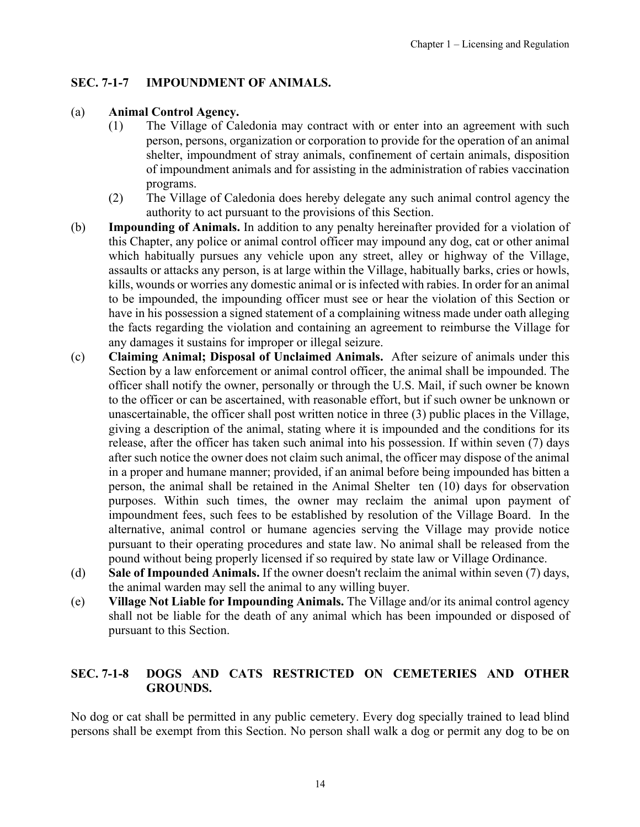# <span id="page-13-0"></span>**SEC. 7-1-7 IMPOUNDMENT OF ANIMALS.**

### (a) **Animal Control Agency.**

- (1) The Village of Caledonia may contract with or enter into an agreement with such person, persons, organization or corporation to provide for the operation of an animal shelter, impoundment of stray animals, confinement of certain animals, disposition of impoundment animals and for assisting in the administration of rabies vaccination programs.
- (2) The Village of Caledonia does hereby delegate any such animal control agency the authority to act pursuant to the provisions of this Section.
- (b) **Impounding of Animals.** In addition to any penalty hereinafter provided for a violation of this Chapter, any police or animal control officer may impound any dog, cat or other animal which habitually pursues any vehicle upon any street, alley or highway of the Village, assaults or attacks any person, is at large within the Village, habitually barks, cries or howls, kills, wounds or worries any domestic animal or is infected with rabies. In order for an animal to be impounded, the impounding officer must see or hear the violation of this Section or have in his possession a signed statement of a complaining witness made under oath alleging the facts regarding the violation and containing an agreement to reimburse the Village for any damages it sustains for improper or illegal seizure.
- (c) **Claiming Animal; Disposal of Unclaimed Animals.** After seizure of animals under this Section by a law enforcement or animal control officer, the animal shall be impounded. The officer shall notify the owner, personally or through the U.S. Mail, if such owner be known to the officer or can be ascertained, with reasonable effort, but if such owner be unknown or unascertainable, the officer shall post written notice in three (3) public places in the Village, giving a description of the animal, stating where it is impounded and the conditions for its release, after the officer has taken such animal into his possession. If within seven (7) days after such notice the owner does not claim such animal, the officer may dispose of the animal in a proper and humane manner; provided, if an animal before being impounded has bitten a person, the animal shall be retained in the Animal Shelter ten (10) days for observation purposes. Within such times, the owner may reclaim the animal upon payment of impoundment fees, such fees to be established by resolution of the Village Board. In the alternative, animal control or humane agencies serving the Village may provide notice pursuant to their operating procedures and state law. No animal shall be released from the pound without being properly licensed if so required by state law or Village Ordinance.
- (d) **Sale of Impounded Animals.** If the owner doesn't reclaim the animal within seven (7) days, the animal warden may sell the animal to any willing buyer.
- (e) **Village Not Liable for Impounding Animals.** The Village and/or its animal control agency shall not be liable for the death of any animal which has been impounded or disposed of pursuant to this Section.

# **SEC. 7-1-8 DOGS AND CATS RESTRICTED ON CEMETERIES AND OTHER GROUNDS.**

No dog or cat shall be permitted in any public cemetery. Every dog specially trained to lead blind persons shall be exempt from this Section. No person shall walk a dog or permit any dog to be on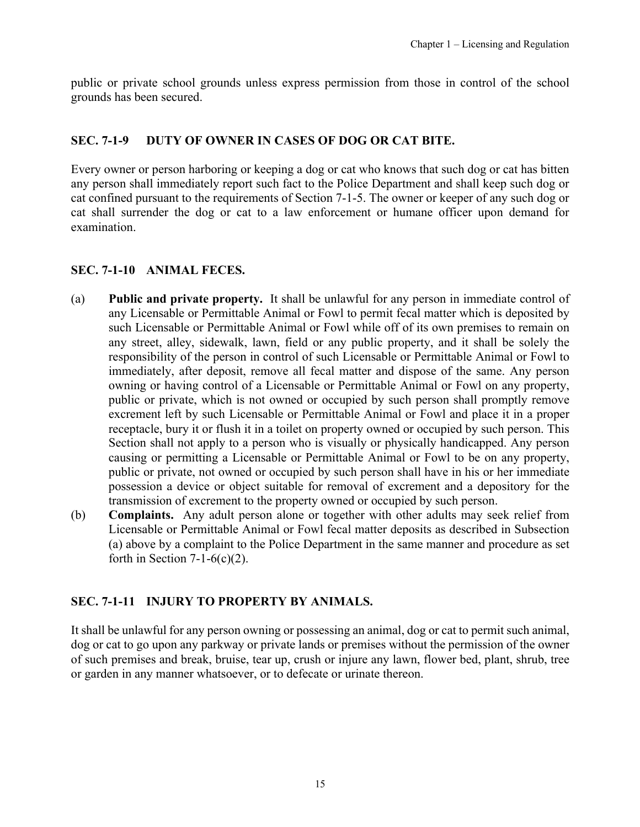<span id="page-14-0"></span>public or private school grounds unless express permission from those in control of the school grounds has been secured.

# **SEC. 7-1-9 DUTY OF OWNER IN CASES OF DOG OR CAT BITE.**

Every owner or person harboring or keeping a dog or cat who knows that such dog or cat has bitten any person shall immediately report such fact to the Police Department and shall keep such dog or cat confined pursuant to the requirements of Section 7-1-5. The owner or keeper of any such dog or cat shall surrender the dog or cat to a law enforcement or humane officer upon demand for examination.

# **SEC. 7-1-10 ANIMAL FECES.**

- (a) **Public and private property.** It shall be unlawful for any person in immediate control of any Licensable or Permittable Animal or Fowl to permit fecal matter which is deposited by such Licensable or Permittable Animal or Fowl while off of its own premises to remain on any street, alley, sidewalk, lawn, field or any public property, and it shall be solely the responsibility of the person in control of such Licensable or Permittable Animal or Fowl to immediately, after deposit, remove all fecal matter and dispose of the same. Any person owning or having control of a Licensable or Permittable Animal or Fowl on any property, public or private, which is not owned or occupied by such person shall promptly remove excrement left by such Licensable or Permittable Animal or Fowl and place it in a proper receptacle, bury it or flush it in a toilet on property owned or occupied by such person. This Section shall not apply to a person who is visually or physically handicapped. Any person causing or permitting a Licensable or Permittable Animal or Fowl to be on any property, public or private, not owned or occupied by such person shall have in his or her immediate possession a device or object suitable for removal of excrement and a depository for the transmission of excrement to the property owned or occupied by such person.
- (b) **Complaints.** Any adult person alone or together with other adults may seek relief from Licensable or Permittable Animal or Fowl fecal matter deposits as described in Subsection (a) above by a complaint to the Police Department in the same manner and procedure as set forth in Section  $7-1-6(c)(2)$ .

## **SEC. 7-1-11 INJURY TO PROPERTY BY ANIMALS.**

It shall be unlawful for any person owning or possessing an animal, dog or cat to permit such animal, dog or cat to go upon any parkway or private lands or premises without the permission of the owner of such premises and break, bruise, tear up, crush or injure any lawn, flower bed, plant, shrub, tree or garden in any manner whatsoever, or to defecate or urinate thereon.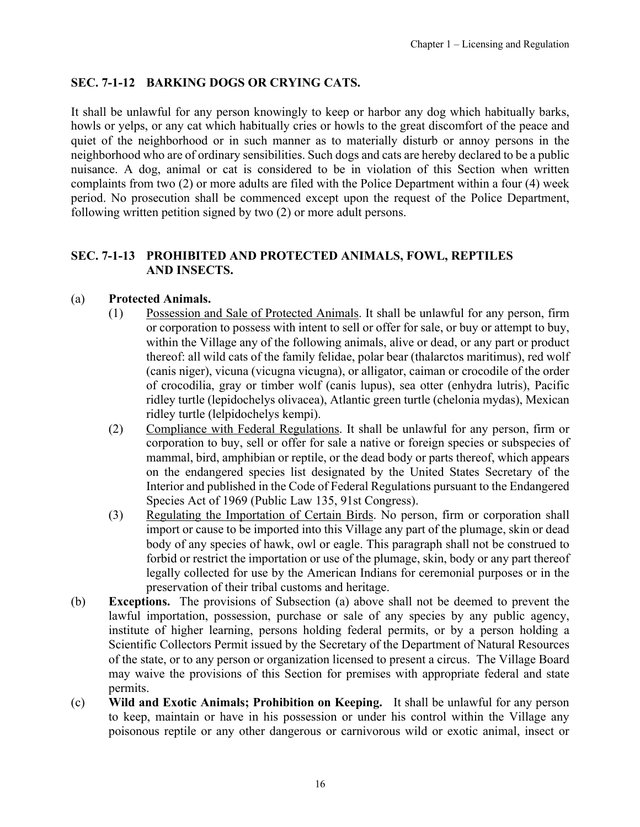# <span id="page-15-0"></span>**SEC. 7-1-12 BARKING DOGS OR CRYING CATS.**

It shall be unlawful for any person knowingly to keep or harbor any dog which habitually barks, howls or yelps, or any cat which habitually cries or howls to the great discomfort of the peace and quiet of the neighborhood or in such manner as to materially disturb or annoy persons in the neighborhood who are of ordinary sensibilities. Such dogs and cats are hereby declared to be a public nuisance. A dog, animal or cat is considered to be in violation of this Section when written complaints from two (2) or more adults are filed with the Police Department within a four (4) week period. No prosecution shall be commenced except upon the request of the Police Department, following written petition signed by two (2) or more adult persons.

### **SEC. 7-1-13 PROHIBITED AND PROTECTED ANIMALS, FOWL, REPTILES AND INSECTS.**

### (a) **Protected Animals.**

- (1) Possession and Sale of Protected Animals. It shall be unlawful for any person, firm or corporation to possess with intent to sell or offer for sale, or buy or attempt to buy, within the Village any of the following animals, alive or dead, or any part or product thereof: all wild cats of the family felidae, polar bear (thalarctos maritimus), red wolf (canis niger), vicuna (vicugna vicugna), or alligator, caiman or crocodile of the order of crocodilia, gray or timber wolf (canis lupus), sea otter (enhydra lutris), Pacific ridley turtle (lepidochelys olivacea), Atlantic green turtle (chelonia mydas), Mexican ridley turtle (lelpidochelys kempi).
- (2) Compliance with Federal Regulations. It shall be unlawful for any person, firm or corporation to buy, sell or offer for sale a native or foreign species or subspecies of mammal, bird, amphibian or reptile, or the dead body or parts thereof, which appears on the endangered species list designated by the United States Secretary of the Interior and published in the Code of Federal Regulations pursuant to the Endangered Species Act of 1969 (Public Law 135, 91st Congress).
- (3) Regulating the Importation of Certain Birds. No person, firm or corporation shall import or cause to be imported into this Village any part of the plumage, skin or dead body of any species of hawk, owl or eagle. This paragraph shall not be construed to forbid or restrict the importation or use of the plumage, skin, body or any part thereof legally collected for use by the American Indians for ceremonial purposes or in the preservation of their tribal customs and heritage.
- (b) **Exceptions.** The provisions of Subsection (a) above shall not be deemed to prevent the lawful importation, possession, purchase or sale of any species by any public agency, institute of higher learning, persons holding federal permits, or by a person holding a Scientific Collectors Permit issued by the Secretary of the Department of Natural Resources of the state, or to any person or organization licensed to present a circus. The Village Board may waive the provisions of this Section for premises with appropriate federal and state permits.
- (c) **Wild and Exotic Animals; Prohibition on Keeping.** It shall be unlawful for any person to keep, maintain or have in his possession or under his control within the Village any poisonous reptile or any other dangerous or carnivorous wild or exotic animal, insect or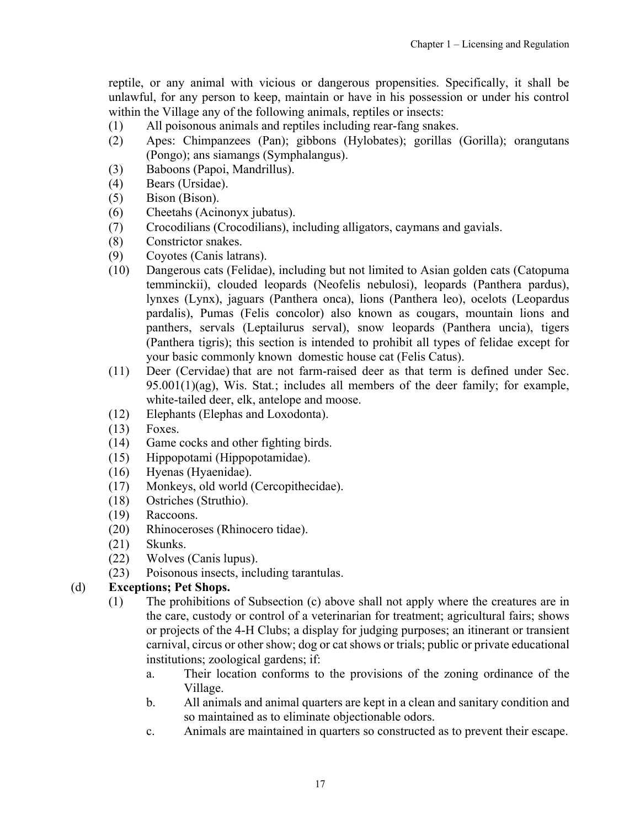reptile, or any animal with vicious or dangerous propensities. Specifically, it shall be unlawful, for any person to keep, maintain or have in his possession or under his control within the Village any of the following animals, reptiles or insects:

- (1) All poisonous animals and reptiles including rear-fang snakes.
- (2) Apes: Chimpanzees (Pan); gibbons (Hylobates); gorillas (Gorilla); orangutans (Pongo); ans siamangs (Symphalangus).
- (3) Baboons (Papoi, Mandrillus).
- (4) Bears (Ursidae).
- (5) Bison (Bison).
- (6) Cheetahs (Acinonyx jubatus).
- (7) Crocodilians (Crocodilians), including alligators, caymans and gavials.
- (8) Constrictor snakes.
- (9) Coyotes (Canis latrans).
- (10) Dangerous cats (Felidae), including but not limited to Asian golden cats (Catopuma temminckii), clouded leopards (Neofelis nebulosi), leopards (Panthera pardus), lynxes (Lynx), jaguars (Panthera onca), lions (Panthera leo), ocelots (Leopardus pardalis), Pumas (Felis concolor) also known as cougars, mountain lions and panthers, servals (Leptailurus serval), snow leopards (Panthera uncia), tigers (Panthera tigris); this section is intended to prohibit all types of felidae except for your basic commonly known domestic house cat (Felis Catus).
- (11) Deer (Cervidae) that are not farm-raised deer as that term is defined under Sec. 95.001(1)(ag), Wis. Stat*.*; includes all members of the deer family; for example, white-tailed deer, elk, antelope and moose.
- (12) Elephants (Elephas and Loxodonta).
- (13) Foxes.
- (14) Game cocks and other fighting birds.
- (15) Hippopotami (Hippopotamidae).
- (16) Hyenas (Hyaenidae).
- (17) Monkeys, old world (Cercopithecidae).
- (18) Ostriches (Struthio).
- (19) Raccoons.
- (20) Rhinoceroses (Rhinocero tidae).
- (21) Skunks.
- (22) Wolves (Canis lupus).
- (23) Poisonous insects, including tarantulas.

# (d) **Exceptions; Pet Shops.**

- (1) The prohibitions of Subsection (c) above shall not apply where the creatures are in the care, custody or control of a veterinarian for treatment; agricultural fairs; shows or projects of the 4-H Clubs; a display for judging purposes; an itinerant or transient carnival, circus or other show; dog or cat shows or trials; public or private educational institutions; zoological gardens; if:
	- a. Their location conforms to the provisions of the zoning ordinance of the Village.
	- b. All animals and animal quarters are kept in a clean and sanitary condition and so maintained as to eliminate objectionable odors.
	- c. Animals are maintained in quarters so constructed as to prevent their escape.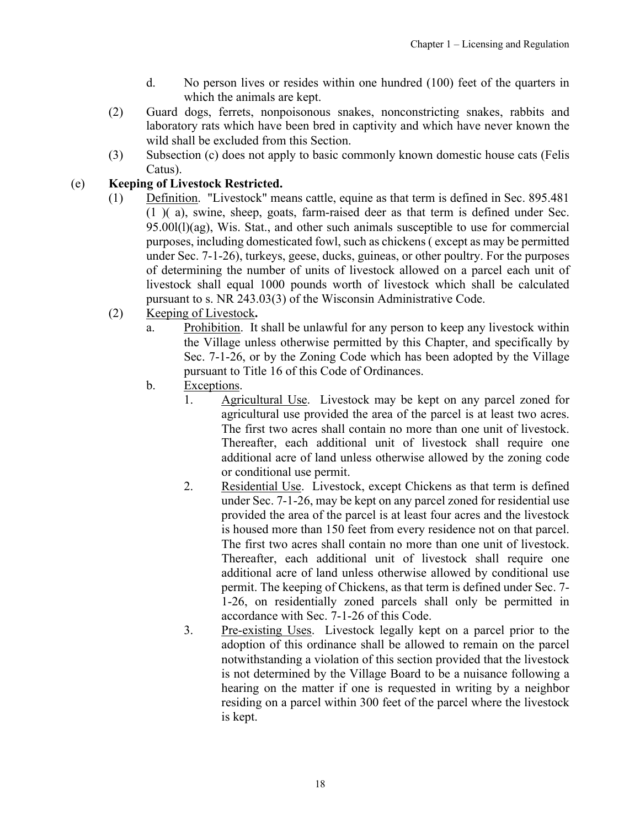- d. No person lives or resides within one hundred (100) feet of the quarters in which the animals are kept.
- (2) Guard dogs, ferrets, nonpoisonous snakes, nonconstricting snakes, rabbits and laboratory rats which have been bred in captivity and which have never known the wild shall be excluded from this Section.
- (3) Subsection (c) does not apply to basic commonly known domestic house cats (Felis Catus).

# (e) **Keeping of Livestock Restricted.**

- (1) Definition. "Livestock" means cattle, equine as that term is defined in Sec. 895.481 (1 )( a), swine, sheep, goats, farm-raised deer as that term is defined under Sec. 95.00l(l)(ag), Wis. Stat., and other such animals susceptible to use for commercial purposes, including domesticated fowl, such as chickens ( except as may be permitted under Sec. 7-1-26), turkeys, geese, ducks, guineas, or other poultry. For the purposes of determining the number of units of livestock allowed on a parcel each unit of livestock shall equal 1000 pounds worth of livestock which shall be calculated pursuant to s. NR 243.03(3) of the Wisconsin Administrative Code.
- (2) Keeping of Livestock**.**
	- a. Prohibition. It shall be unlawful for any person to keep any livestock within the Village unless otherwise permitted by this Chapter, and specifically by Sec. 7-1-26, or by the Zoning Code which has been adopted by the Village pursuant to Title 16 of this Code of Ordinances.
	- b. Exceptions.
		- 1. Agricultural Use. Livestock may be kept on any parcel zoned for agricultural use provided the area of the parcel is at least two acres. The first two acres shall contain no more than one unit of livestock. Thereafter, each additional unit of livestock shall require one additional acre of land unless otherwise allowed by the zoning code or conditional use permit.
		- 2. Residential Use. Livestock, except Chickens as that term is defined under Sec. 7-1-26, may be kept on any parcel zoned for residential use provided the area of the parcel is at least four acres and the livestock is housed more than 150 feet from every residence not on that parcel. The first two acres shall contain no more than one unit of livestock. Thereafter, each additional unit of livestock shall require one additional acre of land unless otherwise allowed by conditional use permit. The keeping of Chickens, as that term is defined under Sec. 7- 1-26, on residentially zoned parcels shall only be permitted in accordance with Sec. 7-1-26 of this Code.
		- 3. Pre-existing Uses. Livestock legally kept on a parcel prior to the adoption of this ordinance shall be allowed to remain on the parcel notwithstanding a violation of this section provided that the livestock is not determined by the Village Board to be a nuisance following a hearing on the matter if one is requested in writing by a neighbor residing on a parcel within 300 feet of the parcel where the livestock is kept.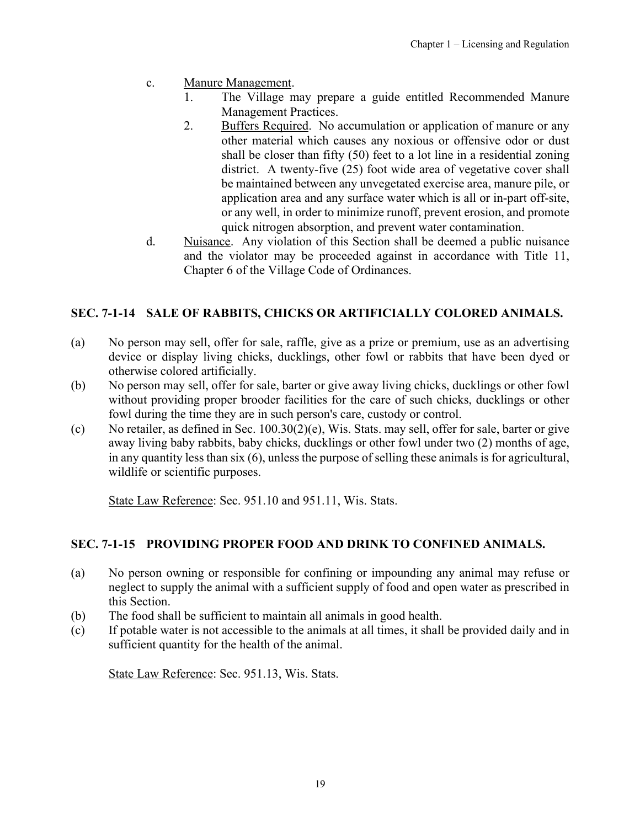- <span id="page-18-0"></span>c. Manure Management.
	- 1. The Village may prepare a guide entitled Recommended Manure Management Practices.
	- 2. Buffers Required. No accumulation or application of manure or any other material which causes any noxious or offensive odor or dust shall be closer than fifty (50) feet to a lot line in a residential zoning district. A twenty-five (25) foot wide area of vegetative cover shall be maintained between any unvegetated exercise area, manure pile, or application area and any surface water which is all or in-part off-site, or any well, in order to minimize runoff, prevent erosion, and promote quick nitrogen absorption, and prevent water contamination.
- d. Nuisance. Any violation of this Section shall be deemed a public nuisance and the violator may be proceeded against in accordance with Title 11, Chapter 6 of the Village Code of Ordinances.

# **SEC. 7-1-14 SALE OF RABBITS, CHICKS OR ARTIFICIALLY COLORED ANIMALS.**

- (a) No person may sell, offer for sale, raffle, give as a prize or premium, use as an advertising device or display living chicks, ducklings, other fowl or rabbits that have been dyed or otherwise colored artificially.
- (b) No person may sell, offer for sale, barter or give away living chicks, ducklings or other fowl without providing proper brooder facilities for the care of such chicks, ducklings or other fowl during the time they are in such person's care, custody or control.
- (c) No retailer, as defined in Sec. 100.30(2)(e), Wis. Stats. may sell, offer for sale, barter or give away living baby rabbits, baby chicks, ducklings or other fowl under two (2) months of age, in any quantity less than six (6), unless the purpose of selling these animals is for agricultural, wildlife or scientific purposes.

State Law Reference: Sec. 951.10 and 951.11, Wis. Stats.

# **SEC. 7-1-15 PROVIDING PROPER FOOD AND DRINK TO CONFINED ANIMALS.**

- (a) No person owning or responsible for confining or impounding any animal may refuse or neglect to supply the animal with a sufficient supply of food and open water as prescribed in this Section.
- (b) The food shall be sufficient to maintain all animals in good health.
- (c) If potable water is not accessible to the animals at all times, it shall be provided daily and in sufficient quantity for the health of the animal.

State Law Reference: Sec. 951.13, Wis. Stats.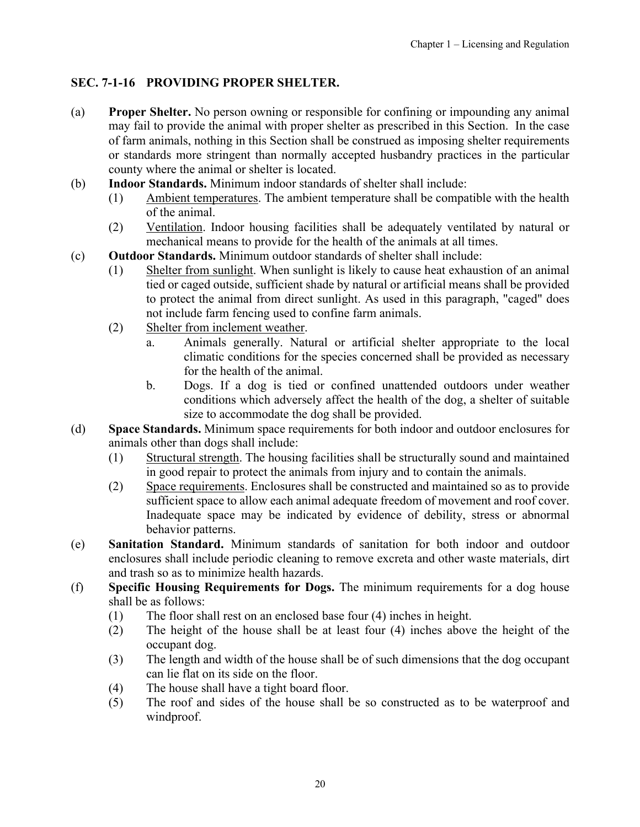# <span id="page-19-0"></span>**SEC. 7-1-16 PROVIDING PROPER SHELTER.**

- (a) **Proper Shelter.** No person owning or responsible for confining or impounding any animal may fail to provide the animal with proper shelter as prescribed in this Section. In the case of farm animals, nothing in this Section shall be construed as imposing shelter requirements or standards more stringent than normally accepted husbandry practices in the particular county where the animal or shelter is located.
- (b) **Indoor Standards.** Minimum indoor standards of shelter shall include:
	- (1) Ambient temperatures. The ambient temperature shall be compatible with the health of the animal.
	- (2) Ventilation. Indoor housing facilities shall be adequately ventilated by natural or mechanical means to provide for the health of the animals at all times.
- (c) **Outdoor Standards.** Minimum outdoor standards of shelter shall include:
	- (1) Shelter from sunlight. When sunlight is likely to cause heat exhaustion of an animal tied or caged outside, sufficient shade by natural or artificial means shall be provided to protect the animal from direct sunlight. As used in this paragraph, "caged" does not include farm fencing used to confine farm animals.
	- (2) Shelter from inclement weather.
		- a. Animals generally. Natural or artificial shelter appropriate to the local climatic conditions for the species concerned shall be provided as necessary for the health of the animal.
		- b. Dogs. If a dog is tied or confined unattended outdoors under weather conditions which adversely affect the health of the dog, a shelter of suitable size to accommodate the dog shall be provided.
- (d) **Space Standards.** Minimum space requirements for both indoor and outdoor enclosures for animals other than dogs shall include:
	- (1) Structural strength. The housing facilities shall be structurally sound and maintained in good repair to protect the animals from injury and to contain the animals.
	- (2) Space requirements. Enclosures shall be constructed and maintained so as to provide sufficient space to allow each animal adequate freedom of movement and roof cover. Inadequate space may be indicated by evidence of debility, stress or abnormal behavior patterns.
- (e) **Sanitation Standard.** Minimum standards of sanitation for both indoor and outdoor enclosures shall include periodic cleaning to remove excreta and other waste materials, dirt and trash so as to minimize health hazards.
- (f) **Specific Housing Requirements for Dogs.** The minimum requirements for a dog house shall be as follows:
	- (1) The floor shall rest on an enclosed base four (4) inches in height.
	- (2) The height of the house shall be at least four (4) inches above the height of the occupant dog.
	- (3) The length and width of the house shall be of such dimensions that the dog occupant can lie flat on its side on the floor.
	- (4) The house shall have a tight board floor.
	- (5) The roof and sides of the house shall be so constructed as to be waterproof and windproof.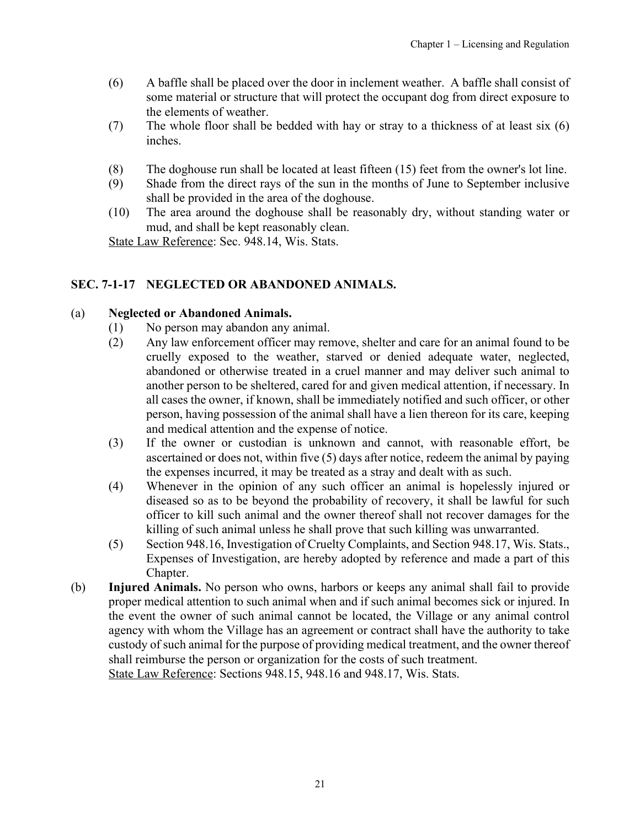- <span id="page-20-0"></span>(6) A baffle shall be placed over the door in inclement weather. A baffle shall consist of some material or structure that will protect the occupant dog from direct exposure to the elements of weather.
- (7) The whole floor shall be bedded with hay or stray to a thickness of at least six (6) inches.
- (8) The doghouse run shall be located at least fifteen (15) feet from the owner's lot line.
- (9) Shade from the direct rays of the sun in the months of June to September inclusive shall be provided in the area of the doghouse.
- (10) The area around the doghouse shall be reasonably dry, without standing water or mud, and shall be kept reasonably clean.

State Law Reference: Sec. 948.14, Wis. Stats.

#### **SEC. 7-1-17 NEGLECTED OR ABANDONED ANIMALS.**

#### (a) **Neglected or Abandoned Animals.**

- (1) No person may abandon any animal.
- (2) Any law enforcement officer may remove, shelter and care for an animal found to be cruelly exposed to the weather, starved or denied adequate water, neglected, abandoned or otherwise treated in a cruel manner and may deliver such animal to another person to be sheltered, cared for and given medical attention, if necessary. In all cases the owner, if known, shall be immediately notified and such officer, or other person, having possession of the animal shall have a lien thereon for its care, keeping and medical attention and the expense of notice.
- (3) If the owner or custodian is unknown and cannot, with reasonable effort, be ascertained or does not, within five (5) days after notice, redeem the animal by paying the expenses incurred, it may be treated as a stray and dealt with as such.
- (4) Whenever in the opinion of any such officer an animal is hopelessly injured or diseased so as to be beyond the probability of recovery, it shall be lawful for such officer to kill such animal and the owner thereof shall not recover damages for the killing of such animal unless he shall prove that such killing was unwarranted.
- (5) Section 948.16, Investigation of Cruelty Complaints, and Section 948.17, Wis. Stats., Expenses of Investigation, are hereby adopted by reference and made a part of this Chapter.
- (b) **Injured Animals.** No person who owns, harbors or keeps any animal shall fail to provide proper medical attention to such animal when and if such animal becomes sick or injured. In the event the owner of such animal cannot be located, the Village or any animal control agency with whom the Village has an agreement or contract shall have the authority to take custody of such animal for the purpose of providing medical treatment, and the owner thereof shall reimburse the person or organization for the costs of such treatment.

State Law Reference: Sections 948.15, 948.16 and 948.17, Wis. Stats.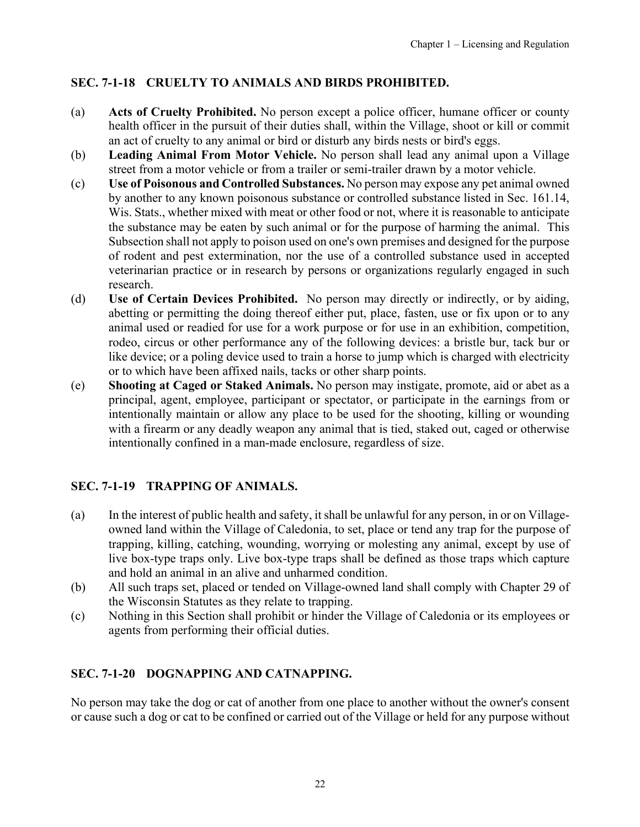# <span id="page-21-0"></span>**SEC. 7-1-18 CRUELTY TO ANIMALS AND BIRDS PROHIBITED.**

- (a) **Acts of Cruelty Prohibited.** No person except a police officer, humane officer or county health officer in the pursuit of their duties shall, within the Village, shoot or kill or commit an act of cruelty to any animal or bird or disturb any birds nests or bird's eggs.
- (b) **Leading Animal From Motor Vehicle.** No person shall lead any animal upon a Village street from a motor vehicle or from a trailer or semi-trailer drawn by a motor vehicle.
- (c) **Use of Poisonous and Controlled Substances.** No person may expose any pet animal owned by another to any known poisonous substance or controlled substance listed in Sec. 161.14, Wis. Stats., whether mixed with meat or other food or not, where it is reasonable to anticipate the substance may be eaten by such animal or for the purpose of harming the animal. This Subsection shall not apply to poison used on one's own premises and designed for the purpose of rodent and pest extermination, nor the use of a controlled substance used in accepted veterinarian practice or in research by persons or organizations regularly engaged in such research.
- (d) **Use of Certain Devices Prohibited.** No person may directly or indirectly, or by aiding, abetting or permitting the doing thereof either put, place, fasten, use or fix upon or to any animal used or readied for use for a work purpose or for use in an exhibition, competition, rodeo, circus or other performance any of the following devices: a bristle bur, tack bur or like device; or a poling device used to train a horse to jump which is charged with electricity or to which have been affixed nails, tacks or other sharp points.
- (e) **Shooting at Caged or Staked Animals.** No person may instigate, promote, aid or abet as a principal, agent, employee, participant or spectator, or participate in the earnings from or intentionally maintain or allow any place to be used for the shooting, killing or wounding with a firearm or any deadly weapon any animal that is tied, staked out, caged or otherwise intentionally confined in a man-made enclosure, regardless of size.

## **SEC. 7-1-19 TRAPPING OF ANIMALS.**

- (a) In the interest of public health and safety, it shall be unlawful for any person, in or on Villageowned land within the Village of Caledonia, to set, place or tend any trap for the purpose of trapping, killing, catching, wounding, worrying or molesting any animal, except by use of live box-type traps only. Live box-type traps shall be defined as those traps which capture and hold an animal in an alive and unharmed condition.
- (b) All such traps set, placed or tended on Village-owned land shall comply with Chapter 29 of the Wisconsin Statutes as they relate to trapping.
- (c) Nothing in this Section shall prohibit or hinder the Village of Caledonia or its employees or agents from performing their official duties.

## **SEC. 7-1-20 DOGNAPPING AND CATNAPPING.**

No person may take the dog or cat of another from one place to another without the owner's consent or cause such a dog or cat to be confined or carried out of the Village or held for any purpose without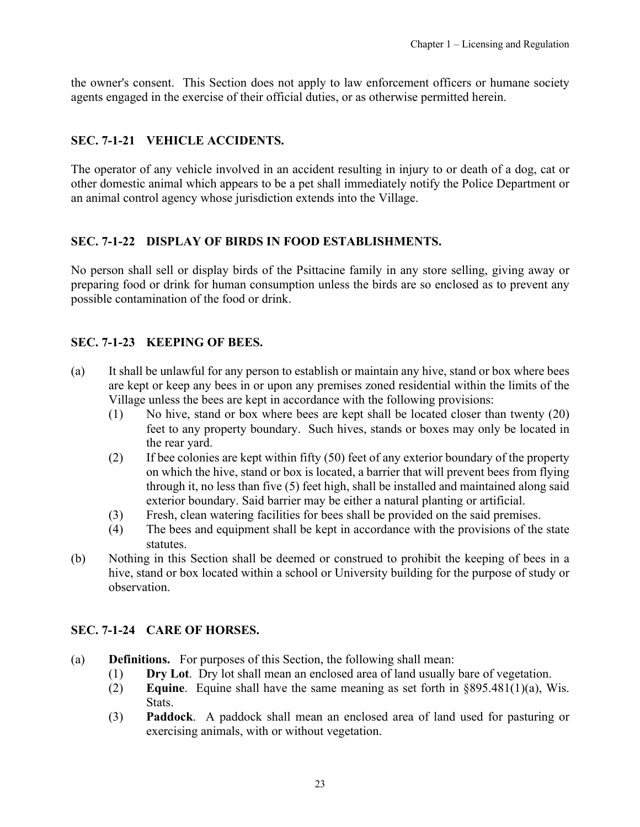<span id="page-22-0"></span>the owner's consent. This Section does not apply to law enforcement officers or humane society agents engaged in the exercise of their official duties, or as otherwise permitted herein.

# **SEC. 7-1-21 VEHICLE ACCIDENTS.**

The operator of any vehicle involved in an accident resulting in injury to or death of a dog, cat or other domestic animal which appears to be a pet shall immediately notify the Police Department or an animal control agency whose jurisdiction extends into the Village.

# **SEC. 7-1-22 DISPLAY OF BIRDS IN FOOD ESTABLISHMENTS.**

No person shall sell or display birds of the Psittacine family in any store selling, giving away or preparing food or drink for human consumption unless the birds are so enclosed as to prevent any possible contamination of the food or drink.

# **SEC. 7-1-23 KEEPING OF BEES.**

- (a) It shall be unlawful for any person to establish or maintain any hive, stand or box where bees are kept or keep any bees in or upon any premises zoned residential within the limits of the Village unless the bees are kept in accordance with the following provisions:
	- (1) No hive, stand or box where bees are kept shall be located closer than twenty (20) feet to any property boundary. Such hives, stands or boxes may only be located in the rear yard.
	- (2) If bee colonies are kept within fifty (50) feet of any exterior boundary of the property on which the hive, stand or box is located, a barrier that will prevent bees from flying through it, no less than five (5) feet high, shall be installed and maintained along said exterior boundary. Said barrier may be either a natural planting or artificial.
	- (3) Fresh, clean watering facilities for bees shall be provided on the said premises.
	- (4) The bees and equipment shall be kept in accordance with the provisions of the state statutes.
- (b) Nothing in this Section shall be deemed or construed to prohibit the keeping of bees in a hive, stand or box located within a school or University building for the purpose of study or observation.

# **SEC. 7-1-24 CARE OF HORSES.**

- (a) **Definitions.** For purposes of this Section, the following shall mean:
	- (1) **Dry Lot**. Dry lot shall mean an enclosed area of land usually bare of vegetation.
	- (2) **Equine**. Equine shall have the same meaning as set forth in §895.481(1)(a), Wis. Stats.
	- (3) **Paddock**. A paddock shall mean an enclosed area of land used for pasturing or exercising animals, with or without vegetation.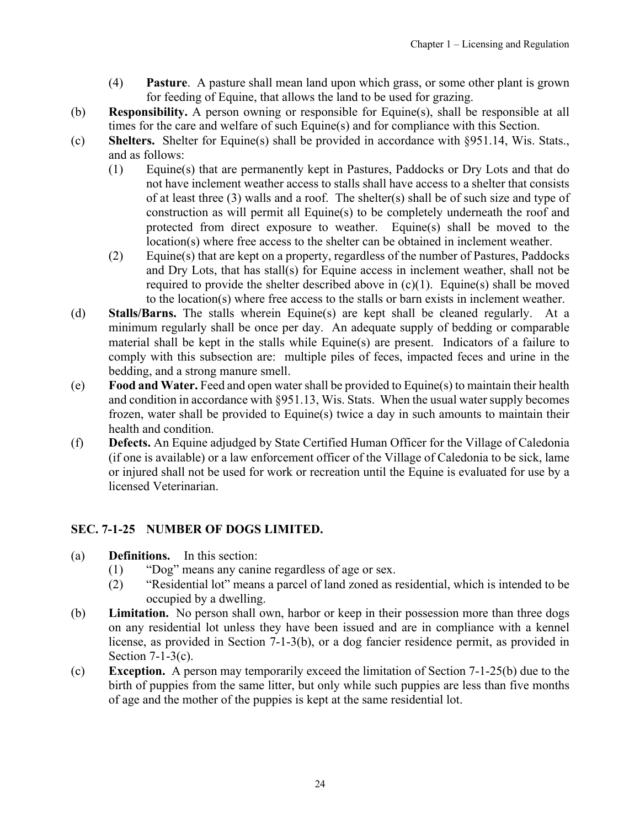- (4) **Pasture**. A pasture shall mean land upon which grass, or some other plant is grown for feeding of Equine, that allows the land to be used for grazing.
- <span id="page-23-0"></span>(b) **Responsibility.** A person owning or responsible for Equine(s), shall be responsible at all times for the care and welfare of such Equine(s) and for compliance with this Section.
- (c) **Shelters.** Shelter for Equine(s) shall be provided in accordance with §951.14, Wis. Stats., and as follows:
	- (1) Equine(s) that are permanently kept in Pastures, Paddocks or Dry Lots and that do not have inclement weather access to stalls shall have access to a shelter that consists of at least three (3) walls and a roof. The shelter(s) shall be of such size and type of construction as will permit all Equine(s) to be completely underneath the roof and protected from direct exposure to weather. Equine(s) shall be moved to the location(s) where free access to the shelter can be obtained in inclement weather.
	- (2) Equine(s) that are kept on a property, regardless of the number of Pastures, Paddocks and Dry Lots, that has stall(s) for Equine access in inclement weather, shall not be required to provide the shelter described above in  $(c)(1)$ . Equine(s) shall be moved to the location(s) where free access to the stalls or barn exists in inclement weather.
- (d) **Stalls/Barns.** The stalls wherein Equine(s) are kept shall be cleaned regularly. At a minimum regularly shall be once per day. An adequate supply of bedding or comparable material shall be kept in the stalls while Equine(s) are present. Indicators of a failure to comply with this subsection are: multiple piles of feces, impacted feces and urine in the bedding, and a strong manure smell.
- (e) **Food and Water.** Feed and open water shall be provided to Equine(s) to maintain their health and condition in accordance with §951.13, Wis. Stats. When the usual water supply becomes frozen, water shall be provided to Equine(s) twice a day in such amounts to maintain their health and condition.
- (f) **Defects.** An Equine adjudged by State Certified Human Officer for the Village of Caledonia (if one is available) or a law enforcement officer of the Village of Caledonia to be sick, lame or injured shall not be used for work or recreation until the Equine is evaluated for use by a licensed Veterinarian.

# **SEC. 7-1-25 NUMBER OF DOGS LIMITED.**

- (a) **Definitions.** In this section:
	- (1) "Dog" means any canine regardless of age or sex.
	- (2) "Residential lot" means a parcel of land zoned as residential, which is intended to be occupied by a dwelling.
- (b) **Limitation.** No person shall own, harbor or keep in their possession more than three dogs on any residential lot unless they have been issued and are in compliance with a kennel license, as provided in Section 7-1-3(b), or a dog fancier residence permit, as provided in Section 7-1-3(c).
- (c) **Exception.** A person may temporarily exceed the limitation of Section 7-1-25(b) due to the birth of puppies from the same litter, but only while such puppies are less than five months of age and the mother of the puppies is kept at the same residential lot.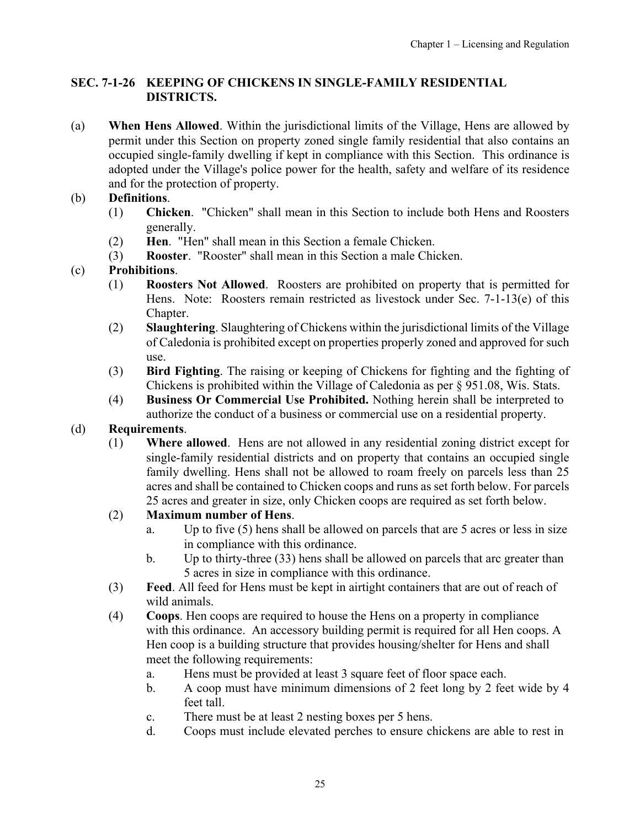# <span id="page-24-0"></span>**SEC. 7-1-26 KEEPING OF CHICKENS IN SINGLE-FAMILY RESIDENTIAL DISTRICTS.**

(a) **When Hens Allowed**. Within the jurisdictional limits of the Village, Hens are allowed by permit under this Section on property zoned single family residential that also contains an occupied single-family dwelling if kept in compliance with this Section. This ordinance is adopted under the Village's police power for the health, safety and welfare of its residence and for the protection of property.

# (b) **Definitions**.

- (1) **Chicken**. "Chicken" shall mean in this Section to include both Hens and Roosters generally.
- (2) **Hen**. "Hen" shall mean in this Section a female Chicken.
- (3) **Rooster**. "Rooster" shall mean in this Section a male Chicken.

# (c) **Prohibitions**.

- (1) **Roosters Not Allowed**. Roosters are prohibited on property that is permitted for Hens. Note: Roosters remain restricted as livestock under Sec. 7-1-13(e) of this Chapter.
- (2) **Slaughtering**. Slaughtering of Chickens within the jurisdictional limits of the Village of Caledonia is prohibited except on properties properly zoned and approved for such use.
- (3) **Bird Fighting**. The raising or keeping of Chickens for fighting and the fighting of Chickens is prohibited within the Village of Caledonia as per § 951.08, Wis. Stats.
- (4) **Business Or Commercial Use Prohibited.** Nothing herein shall be interpreted to authorize the conduct of a business or commercial use on a residential property.

## (d) **Requirements**.

(1) **Where allowed**. Hens are not allowed in any residential zoning district except for single-family residential districts and on property that contains an occupied single family dwelling. Hens shall not be allowed to roam freely on parcels less than 25 acres and shall be contained to Chicken coops and runs as set forth below. For parcels 25 acres and greater in size, only Chicken coops are required as set forth below.

# (2) **Maximum number of Hens**.

- a. Up to five (5) hens shall be allowed on parcels that are 5 acres or less in size in compliance with this ordinance.
- b. Up to thirty-three (33) hens shall be allowed on parcels that arc greater than 5 acres in size in compliance with this ordinance.
- (3) **Feed**. All feed for Hens must be kept in airtight containers that are out of reach of wild animals.
- (4) **Coops**. Hen coops are required to house the Hens on a property in compliance with this ordinance. An accessory building permit is required for all Hen coops. A Hen coop is a building structure that provides housing/shelter for Hens and shall meet the following requirements:
	- a. Hens must be provided at least 3 square feet of floor space each.
	- b. A coop must have minimum dimensions of 2 feet long by 2 feet wide by 4 feet tall.
	- c. There must be at least 2 nesting boxes per 5 hens.
	- d. Coops must include elevated perches to ensure chickens are able to rest in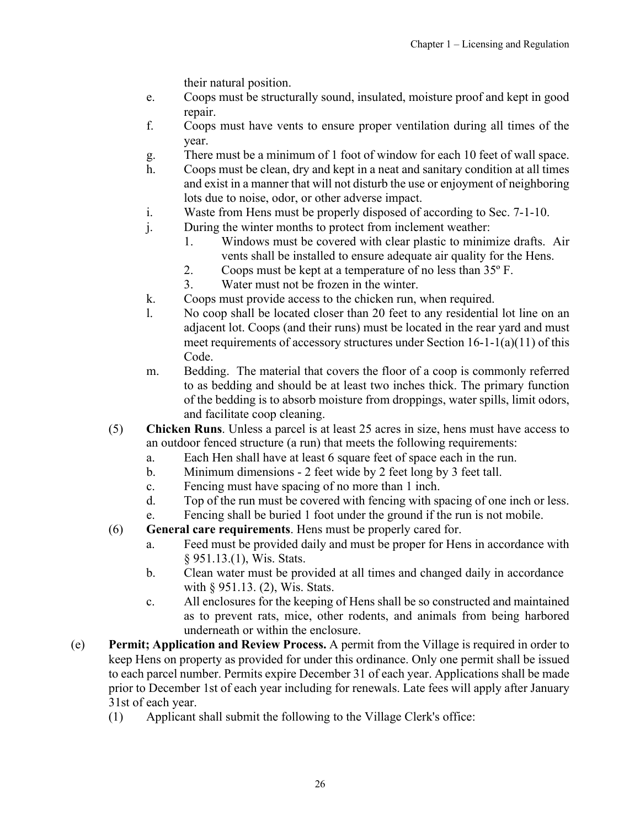their natural position.

- e. Coops must be structurally sound, insulated, moisture proof and kept in good repair.
- f. Coops must have vents to ensure proper ventilation during all times of the year.
- g. There must be a minimum of 1 foot of window for each 10 feet of wall space.
- h. Coops must be clean, dry and kept in a neat and sanitary condition at all times and exist in a manner that will not disturb the use or enjoyment of neighboring lots due to noise, odor, or other adverse impact.
- i. Waste from Hens must be properly disposed of according to Sec. 7-1-10.
- j. During the winter months to protect from inclement weather:
	- 1. Windows must be covered with clear plastic to minimize drafts. Air vents shall be installed to ensure adequate air quality for the Hens.
	- 2. Coops must be kept at a temperature of no less than 35º F.
	- 3. Water must not be frozen in the winter.
- k. Coops must provide access to the chicken run, when required.
- l. No coop shall be located closer than 20 feet to any residential lot line on an adjacent lot. Coops (and their runs) must be located in the rear yard and must meet requirements of accessory structures under Section 16-1-1(a)(11) of this Code.
- m. Bedding. The material that covers the floor of a coop is commonly referred to as bedding and should be at least two inches thick. The primary function of the bedding is to absorb moisture from droppings, water spills, limit odors, and facilitate coop cleaning.
- (5) **Chicken Runs**. Unless a parcel is at least 25 acres in size, hens must have access to an outdoor fenced structure (a run) that meets the following requirements:
	- a. Each Hen shall have at least 6 square feet of space each in the run.
	- b. Minimum dimensions 2 feet wide by 2 feet long by 3 feet tall.
	- c. Fencing must have spacing of no more than 1 inch.
	- d. Top of the run must be covered with fencing with spacing of one inch or less.
	- e. Fencing shall be buried 1 foot under the ground if the run is not mobile.
- (6) **General care requirements**. Hens must be properly cared for.
	- a. Feed must be provided daily and must be proper for Hens in accordance with § 951.13.(1), Wis. Stats.
	- b. Clean water must be provided at all times and changed daily in accordance with § 951.13. (2), Wis. Stats.
	- c. All enclosures for the keeping of Hens shall be so constructed and maintained as to prevent rats, mice, other rodents, and animals from being harbored underneath or within the enclosure.
- (e) **Permit; Application and Review Process.** A permit from the Village is required in order to keep Hens on property as provided for under this ordinance. Only one permit shall be issued to each parcel number. Permits expire December 31 of each year. Applications shall be made prior to December 1st of each year including for renewals. Late fees will apply after January 31st of each year.
	- (1) Applicant shall submit the following to the Village Clerk's office: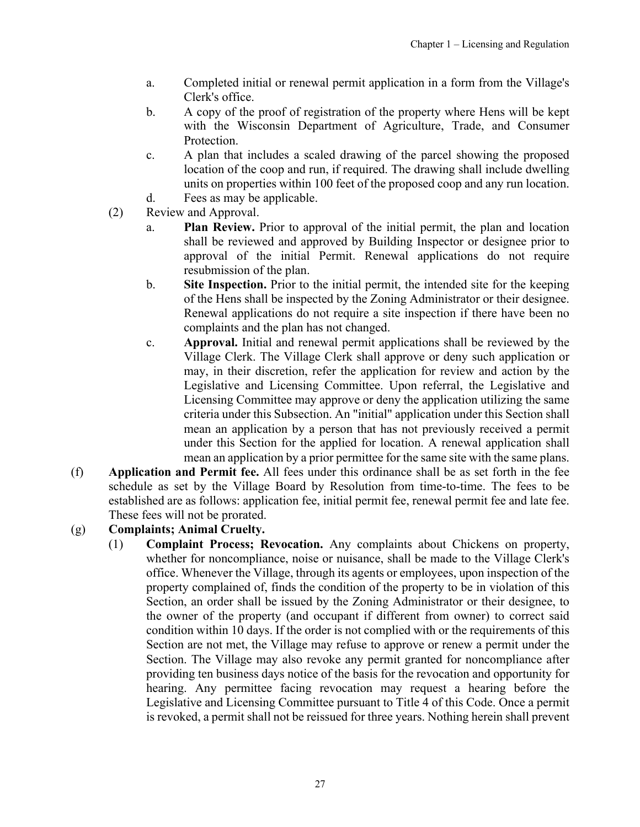- a. Completed initial or renewal permit application in a form from the Village's Clerk's office.
- b. A copy of the proof of registration of the property where Hens will be kept with the Wisconsin Department of Agriculture, Trade, and Consumer Protection.
- c. A plan that includes a scaled drawing of the parcel showing the proposed location of the coop and run, if required. The drawing shall include dwelling units on properties within 100 feet of the proposed coop and any run location.
- d. Fees as may be applicable.
- (2) Review and Approval.
	- a. **Plan Review.** Prior to approval of the initial permit, the plan and location shall be reviewed and approved by Building Inspector or designee prior to approval of the initial Permit. Renewal applications do not require resubmission of the plan.
	- b. **Site Inspection.** Prior to the initial permit, the intended site for the keeping of the Hens shall be inspected by the Zoning Administrator or their designee. Renewal applications do not require a site inspection if there have been no complaints and the plan has not changed.
	- c. **Approval.** Initial and renewal permit applications shall be reviewed by the Village Clerk. The Village Clerk shall approve or deny such application or may, in their discretion, refer the application for review and action by the Legislative and Licensing Committee. Upon referral, the Legislative and Licensing Committee may approve or deny the application utilizing the same criteria under this Subsection. An "initial" application under this Section shall mean an application by a person that has not previously received a permit under this Section for the applied for location. A renewal application shall mean an application by a prior permittee for the same site with the same plans.
- (f) **Application and Permit fee.** All fees under this ordinance shall be as set forth in the fee schedule as set by the Village Board by Resolution from time-to-time. The fees to be established are as follows: application fee, initial permit fee, renewal permit fee and late fee. These fees will not be prorated.

## (g) **Complaints; Animal Cruelty.**

(1) **Complaint Process; Revocation.** Any complaints about Chickens on property, whether for noncompliance, noise or nuisance, shall be made to the Village Clerk's office. Whenever the Village, through its agents or employees, upon inspection of the property complained of, finds the condition of the property to be in violation of this Section, an order shall be issued by the Zoning Administrator or their designee, to the owner of the property (and occupant if different from owner) to correct said condition within 10 days. If the order is not complied with or the requirements of this Section are not met, the Village may refuse to approve or renew a permit under the Section. The Village may also revoke any permit granted for noncompliance after providing ten business days notice of the basis for the revocation and opportunity for hearing. Any permittee facing revocation may request a hearing before the Legislative and Licensing Committee pursuant to Title 4 of this Code. Once a permit is revoked, a permit shall not be reissued for three years. Nothing herein shall prevent